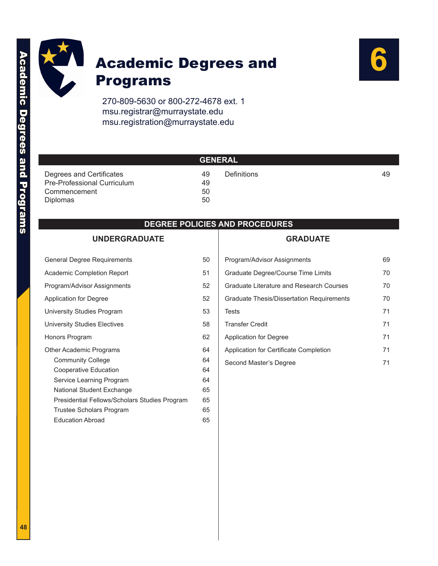

## Academic Degrees and Programs



270-809-5630 or 800-272-4678 ext. 1 msu.registrar@murraystate.edu msu.registration@murraystate.edu

|                             | <b>GENERAL</b> ' |             |    |
|-----------------------------|------------------|-------------|----|
| Degrees and Certificates    | 49               | Definitions | 49 |
| Pre-Professional Curriculum | 49               |             |    |
| Commencement                | 50               |             |    |
| Diplomas                    | 50               |             |    |

#### **DEGREE POLICIES AND PROCEDURES**

#### **[UNDERGRADUATE](#page-2-0)**

| <b>General Degree Requirements</b>            | 50 |
|-----------------------------------------------|----|
| Academic Completion Report                    | 51 |
| Program/Advisor Assignments                   | 52 |
| Application for Degree                        | 52 |
| University Studies Program                    | 53 |
| University Studies Electives                  | 58 |
| Honors Program                                | 62 |
| Other Academic Programs                       | 64 |
| <b>Community College</b>                      | 64 |
| Cooperative Education                         | 64 |
| Service Learning Program                      | 64 |
| National Student Exchange                     | 65 |
| Presidential Fellows/Scholars Studies Program | 65 |
| Trustee Scholars Program                      | 65 |
| <b>Education Abroad</b>                       | 65 |

#### **[GRADUATE](#page-21-0)**

| Program/Advisor Assignments               | 69 |
|-------------------------------------------|----|
| Graduate Degree/Course Time Limits        | 70 |
| Graduate Literature and Research Courses  | 70 |
| Graduate Thesis/Dissertation Requirements | 70 |
| Tests                                     | 71 |
| <b>Transfer Credit</b>                    | 71 |
| Application for Degree                    | 71 |
| Application for Certificate Completion    | 71 |
| Second Master's Degree                    | 71 |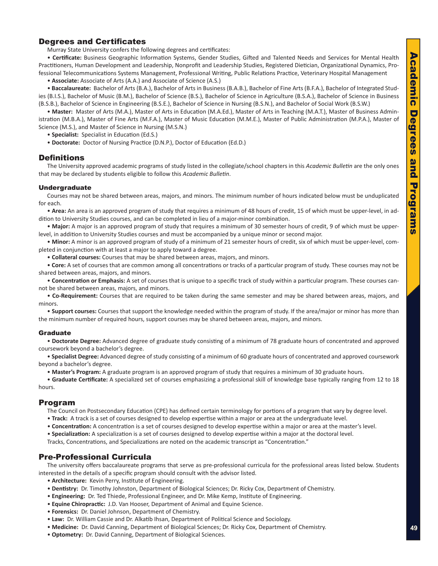#### <span id="page-1-0"></span>Degrees and Certificates

Murray State University confers the following degrees and certificates:

• **Certificate:** Business Geographic Information Systems, Gender Studies, Gifted and Talented Needs and Services for Mental Health Practitioners, Human Development and Leadership, Nonprofit and Leadership Studies, Registered Dietician, Organizational Dynamics, Professional Telecommunications Systems Management, Professional Writing, Public Relations Practice, Veterinary Hospital Management

• **Associate:** Associate of Arts (A.A.) and Associate of Science (A.S.)

• **Baccalaureate:** Bachelor of Arts (B.A.), Bachelor of Arts in Business (B.A.B.), Bachelor of Fine Arts (B.F.A.), Bachelor of Integrated Studies (B.I.S.), Bachelor of Music (B.M.), Bachelor of Science (B.S.), Bachelor of Science in Agriculture (B.S.A.), Bachelor of Science in Business (B.S.B.), Bachelor of Science in Engineering (B.S.E.), Bachelor of Science in Nursing (B.S.N.), and Bachelor of Social Work (B.S.W.)

• **Master:** Master of Arts (M.A.), Master of Arts in Education (M.A.Ed.), Master of Arts in Teaching (M.A.T.), Master of Business Administration (M.B.A.), Master of Fine Arts (M.F.A.), Master of Music Education (M.M.E.), Master of Public Administration (M.P.A.), Master of Science (M.S.), and Master of Science in Nursing (M.S.N.)

• **Specialist:** Specialist in Education (Ed.S.)

• **Doctorate:** Doctor of Nursing Practice (D.N.P.), Doctor of Education (Ed.D.)

#### **Definitions**

The University approved academic programs of study listed in the collegiate/school chapters in this *Academic Bulletin* are the only ones that may be declared by students eligible to follow this *Academic Bulletin*.

#### Undergraduate

Courses may not be shared between areas, majors, and minors. The minimum number of hours indicated below must be unduplicated for each.

• **Area:** An area is an approved program of study that requires a minimum of 48 hours of credit, 15 of which must be upper-level, in addition to University Studies courses, and can be completed in lieu of a major-minor combination.

• **Major:** A major is an approved program of study that requires a minimum of 30 semester hours of credit, 9 of which must be upperlevel, in addition to University Studies courses and must be accompanied by a unique minor or second major.

• **Minor:** A minor is an approved program of study of a minimum of 21 semester hours of credit, six of which must be upper-level, completed in conjunction with at least a major to apply toward a degree.

• **Collateral courses:** Courses that may be shared between areas, majors, and minors.

• **Core:** A set of courses that are common among all concentrations or tracks of a particular program of study. These courses may not be shared between areas, majors, and minors.

• **Concentration or Emphasis:** A set of courses that is unique to a specific track of study within a particular program. These courses cannot be shared between areas, majors, and minors.

• **Co-Requirement:** Courses that are required to be taken during the same semester and may be shared between areas, majors, and minors.

• **Support courses:** Courses that support the knowledge needed within the program of study. If the area/major or minor has more than the minimum number of required hours, support courses may be shared between areas, majors, and minors.

#### Graduate

• **Doctorate Degree:** Advanced degree of graduate study consisting of a minimum of 78 graduate hours of concentrated and approved coursework beyond a bachelor's degree.

• **Specialist Degree:** Advanced degree of study consisting of a minimum of 60 graduate hours of concentrated and approved coursework beyond a bachelor's degree.

• **Master's Program:** A graduate program is an approved program of study that requires a minimum of 30 graduate hours.

• **Graduate Certificate:** A specialized set of courses emphasizing a professional skill of knowledge base typically ranging from 12 to 18 hours.

#### Program

The Council on Postsecondary Education (CPE) has defined certain terminology for portions of a program that vary by degree level.

- **Track:** A track is a set of courses designed to develop expertise within a major or area at the undergraduate level.
- **Concentration:** A concentration is a set of courses designed to develop expertise within a major or area at the master's level.

• **Specialization:** A specialization is a set of courses designed to develop expertise within a major at the doctoral level.

Tracks, Concentrations, and Specializations are noted on the academic transcript as "Concentration."

#### Pre-Professional Curricula

The university offers baccalaureate programs that serve as pre-professional curricula for the professional areas listed below. Students interested in the details of a specific program should consult with the advisor listed.

- **Architecture:** Kevin Perry, Institute of Engineering.
- **Dentistry:** Dr. Timothy Johnston, Department of Biological Sciences; Dr. Ricky Cox, Department of Chemistry.
- **Engineering:** Dr. Ted Thiede, Professional Engineer, and Dr. Mike Kemp, Institute of Engineering.
- **Equine Chiropractic:** J.D. Van Hooser, Department of Animal and Equine Science.
- **Forensics:** Dr. Daniel Johnson, Department of Chemistry.
- **Law:** Dr. William Cassie and Dr. Alkatib Ihsan, Department of Political Science and Sociology.
- **Medicine:** Dr. David Canning, Department of Biological Sciences; Dr. Ricky Cox, Department of Chemistry.
- **Optometry:** Dr. David Canning, Department of Biological Sciences.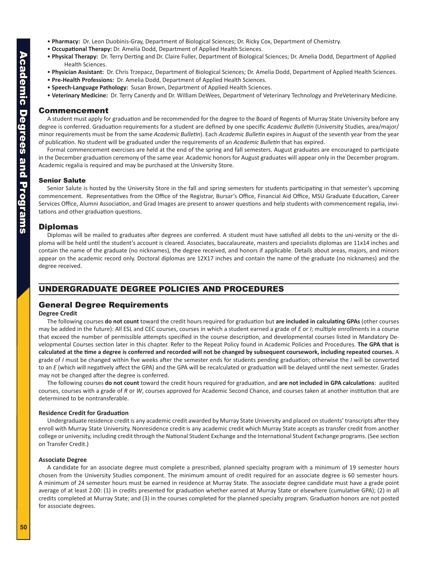- <span id="page-2-0"></span>• **Pharmacy:** Dr. Leon Duobinis-Gray, Department of Biological Sciences; Dr. Ricky Cox, Department of Chemistry.
- **Occupational Therapy:** Dr. Amelia Dodd, Department of Applied Health Sciences.
- **Physical Therapy:** Dr. Terry Derting and Dr. Claire Fuller, Department of Biological Sciences; Dr. Amelia Dodd, Department of Applied Health Sciences.
- **Physician Assistant:** Dr. Chris Trzepacz, Department of Biological Sciences; Dr. Amelia Dodd, Department of Applied Health Sciences.
- **Pre-Health Professions:** Dr. Amelia Dodd, Department of Applied Health Sciences.
- **Speech-Language Pathology:** Susan Brown, Department of Applied Health Sciences.
- **Veterinary Medicine:** Dr. Terry Canerdy and Dr. William DeWees, Department of Veterinary Technology and PreVeterinary Medicine.

#### Commencement

A student must apply for graduation and be recommended for the degree to the Board of Regents of Murray State University before any degree is conferred. Graduation requirements for a student are defined by one specific *Academic Bulletin* (University Studies, area/major/ minor requirements must be from the same *Academic Bulletin*). Each *Academic Bulletin* expires in August of the seventh year from the year of publication. No student will be graduated under the requirements of an *Academic Bulletin* that has expired.

Formal commencement exercises are held at the end of the spring and fall semesters. August graduates are encouraged to participate in the December graduation ceremony of the same year. Academic honors for August graduates will appear only in the December program. Academic regalia is required and may be purchased at the University Store.

#### Senior Salute

Senior Salute is hosted by the University Store in the fall and spring semesters for students participating in that semester's upcoming commencement. Representatives from the Office of the Registrar, Bursar's Office, Financial Aid Office, MSU Graduate Education, Career Services Office, Alumni Association, and Grad Images are present to answer questions and help students with commencement regalia, invitations and other graduation questions.

#### Diplomas

Diplomas will be mailed to graduates after degrees are conferred. A student must have satisfied all debts to the uni-versity or the diploma will be held until the student's account is cleared. Associates, baccalaureate, masters and specialists diplomas are 11x14 inches and contain the name of the graduate (no nicknames), the degree received, and honors if applicable. Details about areas, majors, and minors appear on the academic record only. Doctoral diplomas are 12X17 inches and contain the name of the graduate (no nicknames) and the degree received.

#### UNDERGRADUATE DEGREE POLICIES AND PROCEDURES

#### General Degree Requirements

#### **Degree Credit**

The following courses **do not count** toward the credit hours required for graduation but **are included in calculating GPAs** (other courses may be added in the future): All ESL and CEC courses, courses in which a student earned a grade of *E* or *I*; multiple enrollments in a course that exceed the number of permissible attempts specified in the course description, and developmental courses listed in Mandatory Developmental Courses section later in this chapter. Refer to the Repeat Policy found in Academic Policies and Procedures. **The GPA that is calculated at the time a degree is conferred and recorded will not be changed by subsequent coursework, including repeated courses.** A grade of *I* must be changed within five weeks after the semester ends for students pending graduation; otherwise the *I* will be converted to an *E* (which will negatively affect the GPA) and the GPA will be recalculated or graduation will be delayed until the next semester. Grades may not be changed after the degree is conferred.

The following courses **do not count** toward the credit hours required for graduation, and **are not included in GPA calculations**: audited courses, courses with a grade of *R* or *W*, courses approved for Academic Second Chance, and courses taken at another institution that are determined to be nontransferable.

#### **Residence Credit for Graduation**

Undergraduate residence credit is any academic credit awarded by Murray State University and placed on students' transcripts after they enroll with Murray State University. Nonresidence credit is any academic credit which Murray State accepts as transfer credit from another college or university, including credit through the National Student Exchange and the International Student Exchange programs. (See section on Transfer Credit.)

#### **Associate Degree**

A candidate for an associate degree must complete a prescribed, planned specialty program with a minimum of 19 semester hours chosen from the University Studies component. The minimum amount of credit required for an associate degree is 60 semester hours. A minimum of 24 semester hours must be earned in residence at Murray State. The associate degree candidate must have a grade point average of at least 2.00: (1) in credits presented for graduation whether earned at Murray State or elsewhere (cumulative GPA); (2) in all credits completed at Murray State; and (3) in the courses completed for the planned specialty program. Graduation honors are not posted for associate degrees.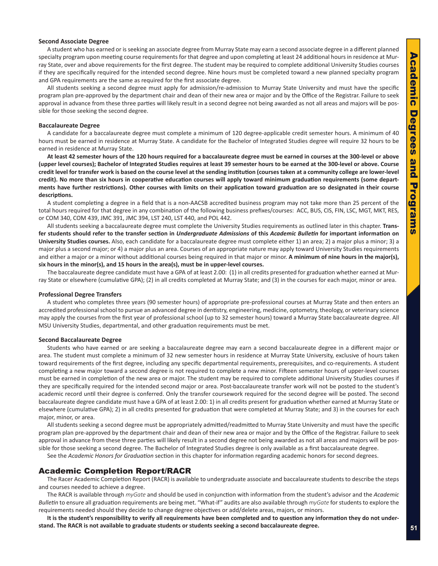#### <span id="page-3-0"></span>**Second Associate Degree**

A student who has earned or is seeking an associate degree from Murray State may earn a second associate degree in a different planned specialty program upon meeting course requirements for that degree and upon completing at least 24 additional hours in residence at Murray State, over and above requirements for the first degree. The student may be required to complete additional University Studies courses if they are specifically required for the intended second degree. Nine hours must be completed toward a new planned specialty program and GPA requirements are the same as required for the first associate degree.

All students seeking a second degree must apply for admission/re-admission to Murray State University and must have the specific program plan pre-approved by the department chair and dean of their new area or major and by the Office of the Registrar. Failure to seek approval in advance from these three parties will likely result in a second degree not being awarded as not all areas and majors will be possible for those seeking the second degree.

#### **Baccalaureate Degree**

A candidate for a baccalaureate degree must complete a minimum of 120 degree-applicable credit semester hours. A minimum of 40 hours must be earned in residence at Murray State. A candidate for the Bachelor of Integrated Studies degree will require 32 hours to be earned in residence at Murray State.

**At least 42 semester hours of the 120 hours required for a baccalaureate degree must be earned in courses at the 300-level or above (upper level courses); Bachelor of Integrated Studies requires at least 39 semester hours to be earned at the 300-level or above. Course credit level for transfer work is based on the course level at the sending institution (courses taken at a community college are lower-level credit). No more than six hours in cooperative education courses will apply toward minimum graduation requirements (some departments have further restrictions). Other courses with limits on their application toward graduation are so designated in their course descriptions.**

A student completing a degree in a field that is a non-AACSB accredited business program may not take more than 25 percent of the total hours required for that degree in any combination of the following business prefixes/courses: ACC, BUS, CIS, FIN, LSC, MGT, MKT, RES, or COM 340, COM 439, JMC 391, JMC 394, LST 240, LST 440, and POL 442.

All students seeking a baccalaureate degree must complete the University Studies requirements as outlined later in this chapter. **Transfer students should refer to the transfer section in** *Undergraduate Admissions* **of this** *Academic Bulletin* **for important information on University Studies courses.** Also, each candidate for a baccalaureate degree must complete either 1) an area; 2) a major plus a minor; 3) a major plus a second major; or 4) a major plus an area. Courses of an appropriate nature may apply toward University Studies requirements and either a major or a minor without additional courses being required in that major or minor. **A minimum of nine hours in the major(s), six hours in the minor(s), and 15 hours in the area(s), must be in upper-level courses.**

The baccalaureate degree candidate must have a GPA of at least 2.00: (1) in all credits presented for graduation whether earned at Murray State or elsewhere (cumulative GPA); (2) in all credits completed at Murray State; and (3) in the courses for each major, minor or area.

#### **Professional Degree Transfers**

A student who completes three years (90 semester hours) of appropriate pre-professional courses at Murray State and then enters an accredited professional school to pursue an advanced degree in dentistry, engineering, medicine, optometry, theology, or veterinary science may apply the courses from the first year of professional school (up to 32 semester hours) toward a Murray State baccalaureate degree. All MSU University Studies, departmental, and other graduation requirements must be met.

#### **Second Baccalaureate Degree**

Students who have earned or are seeking a baccalaureate degree may earn a second baccalaureate degree in a different major or area. The student must complete a minimum of 32 new semester hours in residence at Murray State University, exclusive of hours taken toward requirements of the first degree, including any specific departmental requirements, prerequisites, and co-requirements. A student completing a new major toward a second degree is not required to complete a new minor. Fifteen semester hours of upper-level courses must be earned in completion of the new area or major. The student may be required to complete additional University Studies courses if they are specifically required for the intended second major or area. Post-baccalaureate transfer work will not be posted to the student's academic record until their degree is conferred. Only the transfer coursework required for the second degree will be posted. The second baccalaureate degree candidate must have a GPA of at least 2.00: 1) in all credits present for graduation whether earned at Murray State or elsewhere (cumulative GPA); 2) in all credits presented for graduation that were completed at Murray State; and 3) in the courses for each major, minor, or area.

All students seeking a second degree must be appropriately admitted/readmitted to Murray State University and must have the specific program plan pre-approved by the department chair and dean of their new area or major and by the Office of the Registrar. Failure to seek approval in advance from these three parties will likely result in a second degree not being awarded as not all areas and majors will be possible for those seeking a second degree. The Bachelor of Integrated Studies degree is only available as a first baccalaureate degree.

See the *Academic Honors for Graduation* section in this chapter for information regarding academic honors for second degrees.

#### Academic Completion Report/RACR

The Racer Academic Completion Report (RACR) is available to undergraduate associate and baccalaureate students to describe the steps and courses needed to achieve a degree.

The RACR is available through *myGate* and should be used in conjunction with information from the student's advisor and the *Academic Bulletin* to ensure all graduation requirements are being met. "What-if" audits are also available through *myGate* for students to explore the requirements needed should they decide to change degree objectives or add/delete areas, majors, or minors.

**It is the student's responsibility to verify all requirements have been completed and to question any information they do not understand. The RACR is not available to graduate students or students seeking a second baccalaureate degree.**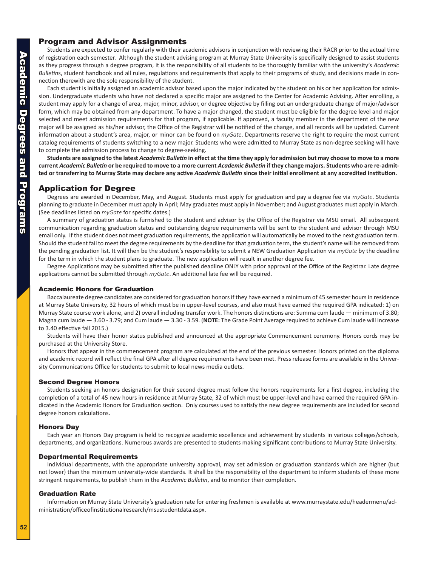#### <span id="page-4-0"></span>Program and Advisor Assignments

Students are expected to confer regularly with their academic advisors in conjunction with reviewing their RACR prior to the actual time of registration each semester. Although the student advising program at Murray State University is specifically designed to assist students as they progress through a degree program, it is the responsibility of all students to be thoroughly familiar with the university's *Academic Bulletin*s, student handbook and all rules, regulations and requirements that apply to their programs of study, and decisions made in connection therewith are the sole responsibility of the student.

Each student is initially assigned an academic advisor based upon the major indicated by the student on his or her application for admission. Undergraduate students who have not declared a specific major are assigned to the Center for Academic Advising. After enrolling, a student may apply for a change of area, major, minor, advisor, or degree objective by filling out an undergraduate change of major/advisor form, which may be obtained from any department. To have a major changed, the student must be eligible for the degree level and major selected and meet admission requirements for that program, if applicable. If approved, a faculty member in the department of the new major will be assigned as his/her advisor, the Office of the Registrar will be notified of the change, and all records will be updated. Current information about a student's area, major, or minor can be found on *myGate*. Departments reserve the right to require the most current catalog requirements of students switching to a new major. Students who were admitted to Murray State as non-degree seeking will have to complete the admission process to change to degree-seeking.

**Students are assigned to the latest** *Academic Bulletin* **in effect at the time they apply for admission but may choose to move to a more current** *Academic Bulletin* **or be required to move to a more current** *Academic Bulletin* **if they change majors. Students who are re-admitted or transferring to Murray State may declare any active** *Academic Bulletin* **since their initial enrollment at any accredited institution.**

#### Application for Degree

Degrees are awarded in December, May, and August. Students must apply for graduation and pay a degree fee via *myGate*. Students planning to graduate in December must apply in April; May graduates must apply in November; and August graduates must apply in March. (See deadlines listed on *myGate* for specific dates.)

A summary of graduation status is furnished to the student and advisor by the Office of the Registrar via MSU email. All subsequent communication regarding graduation status and outstanding degree requirements will be sent to the student and advisor through MSU email only. If the student does not meet graduation requirements, the application will automatically be moved to the next graduation term. Should the student fail to meet the degree requirements by the deadline for that graduation term, the student's name will be removed from the pending graduation list. It will then be the student's responsibility to submit a NEW Graduation Application via *myGate* by the deadline for the term in which the student plans to graduate. The new application will result in another degree fee.

Degree Applications may be submitted after the published deadline ONLY with prior approval of the Office of the Registrar. Late degree applications cannot be submitted through *myGate*. An additional late fee will be required.

#### Academic Honors for Graduation

Baccalaureate degree candidates are considered for graduation honors if they have earned a minimum of 45 semester hours in residence at Murray State University, 32 hours of which must be in upper-level courses, and also must have earned the required GPA indicated: 1) on Murray State course work alone, and 2) overall including transfer work. The honors distinctions are: Summa cum laude — minimum of 3.80; Magna cum laude — 3.60 - 3.79; and Cum laude — 3.30 - 3.59. (**NOTE:** The Grade Point Average required to achieve Cum laude will increase to 3.40 effective fall 2015.)

Students will have their honor status published and announced at the appropriate Commencement ceremony. Honors cords may be purchased at the University Store.

Honors that appear in the commencement program are calculated at the end of the previous semester. Honors printed on the diploma and academic record will reflect the final GPA after all degree requirements have been met. Press release forms are available in the University Communications Office for students to submit to local news media outlets.

#### Second Degree Honors

Students seeking an honors designation for their second degree must follow the honors requirements for a first degree, including the completion of a total of 45 new hours in residence at Murray State, 32 of which must be upper-level and have earned the required GPA indicated in the Academic Honors for Graduation section. Only courses used to satisfy the new degree requirements are included for second degree honors calculations.

#### Honors Day

Each year an Honors Day program is held to recognize academic excellence and achievement by students in various colleges/schools, departments, and organizations. Numerous awards are presented to students making significant contributions to Murray State University.

#### Departmental Requirements

Individual departments, with the appropriate university approval, may set admission or graduation standards which are higher (but not lower) than the minimum university-wide standards. It shall be the responsibility of the department to inform students of these more stringent requirements, to publish them in the *Academic Bulletin*, and to monitor their completion.

#### Graduation Rate

Information on Murray State University's graduation rate for entering freshmen is available at www.murraystate.edu/headermenu/administration/officeofinstitutionalresearch/msustudentdata.aspx.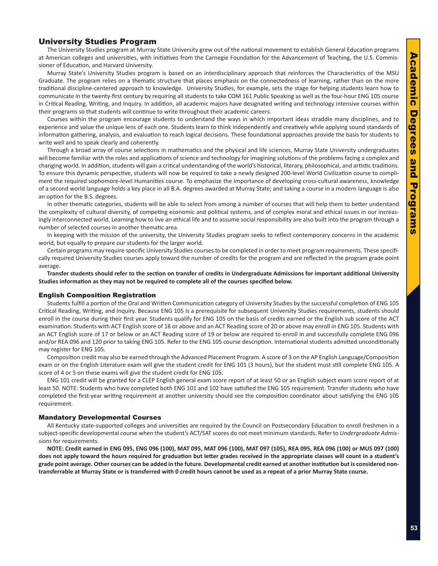#### <span id="page-5-0"></span>University Studies Program

The University Studies program at Murray State University grew out of the national movement to establish General Education programs at American colleges and universities, with initiatives from the Carnegie Foundation for the Advancement of Teaching, the U.S. Commissioner of Education, and Harvard University.

Murray State's University Studies program is based on an interdisciplinary approach that reinforces the Characteristics of the MSU Graduate. The program relies on a thematic structure that places emphasis on the connectedness of learning, rather than on the more traditional discipline-centered approach to knowledge. University Studies, for example, sets the stage for helping students learn how to communicate in the twenty-first century by requiring all students to take COM 161 Public Speaking as well as the four-hour ENG 105 course in Critical Reading, Writing, and Inquiry. In addition, all academic majors have designated writing and technology intensive courses within their programs so that students will continue to write throughout their academic careers.

Courses within the program encourage students to understand the ways in which important ideas straddle many disciplines, and to experience and value the unique lens of each one. Students learn to think independently and creatively while applying sound standards of information gathering, analysis, and evaluation to reach logical decisions. These foundational approaches provide the basis for students to write well and to speak clearly and coherently.

Through a broad array of course selections in mathematics and the physical and life sciences, Murray State University undergraduates will become familiar with the roles and applications of science and technology for imagining solutions of the problems facing a complex and changing world. In addition, students will gain a critical understanding of the world's historical, literary, philosophical, and artistic traditions. To ensure this dynamic perspective, students will now be required to take a newly designed 200-level World Civilization course to compliment the required sophomore-level Humanities course. To emphasize the importance of developing cross-cultural awareness, knowledge of a second world language holds a key place in all B.A. degrees awarded at Murray State; and taking a course in a modern language is also an option for the B.S. degrees.

In other thematic categories, students will be able to select from among a number of courses that will help them to better understand the complexity of cultural diversity, of competing economic and political systems, and of complex moral and ethical issues in our increasingly interconnected world. Learning how to live an ethical life and to assume social responsibility are also built into the program through a number of selected courses in another thematic area.

In keeping with the mission of the university, the University Studies program seeks to reflect contemporary concerns in the academic world, but equally to prepare our students for the larger world.

Certain programs may require specific University Studies courses to be completed in order to meet program requirements. These specifically required University Studies courses apply toward the number of credits for the program and are reflected in the program grade point average.

**Transfer students should refer to the section on transfer of credits in Undergraduate Admissions for important additional University Studies information as they may not be required to complete all of the courses specified below.**

#### English Composition Registration

Students fulfill a portion of the Oral and Written Communication category of University Studies by the successful completion of ENG 105 Critical Reading, Writing, and Inquiry. Because ENG 105 is a prerequisite for subsequent University Studies requirements, students should enroll in the course during their first year. Students qualify for ENG 105 on the basis of credits earned or the English sub score of the ACT examination. Students with ACT English score of 18 or above and an ACT Reading score of 20 or above may enroll in ENG 105. Students with an ACT English score of 17 or below or an ACT Reading score of 19 or below are required to enroll in and successfully complete ENG 096 and/or REA 096 and 120 prior to taking ENG 105. Refer to the ENG 105 course description. International students admitted unconditionally may register for ENG 105.

Composition credit may also be earned through the Advanced Placement Program. A score of 3 on the AP English Language/Composition exam or on the English Literature exam will give the student credit for ENG 101 (3 hours), but the student must still complete ENG 105. A score of 4 or 5 on these exams will give the student credit for ENG 105.

ENG 101 credit will be granted for a CLEP English general exam score report of at least 50 or an English subject exam score report of at least 50. NOTE: Students who have completed both ENG 101 and 102 have satisfied the ENG 105 requirement. Transfer students who have completed the first-year writing requirement at another university should see the composition coordinator about satisfying the ENG 105 requirement.

#### Mandatory Developmental Courses

All Kentucky state-supported colleges and universities are required by the Council on Postsecondary Education to enroll freshmen in a subject-specific developmental course when the student's ACT/SAT scores do not meet minimum standards. Refer to *Undergraduate Admissions* for requirements.

**NOTE: Credit earned in ENG 095, ENG 096 (100), MAT 095, MAT 096 (100), MAT 097 (105), REA 095, REA 096 (100) or MUS 097 (100) does not apply toward the hours required for graduation but letter grades received in the appropriate classes will count in a student's grade point average. Other courses can be added in the future. Developmental credit earned at another institution but is considered nontransferrable at Murray State or is transferred with 0 credit hours cannot be used as a repeat of a prior Murray State course.**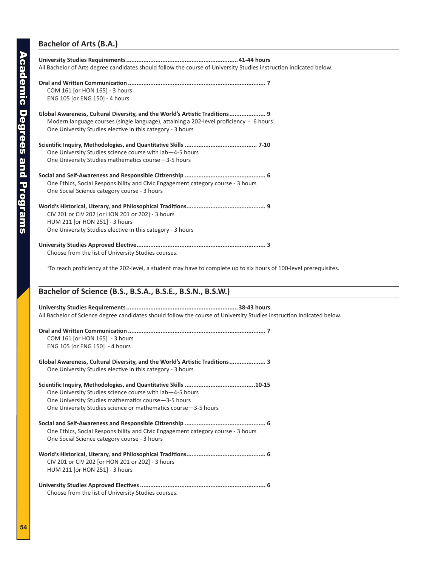#### **Bachelor of Arts (B.A.)**

| COM 161 [or HON 165] - 3 hours<br>ENG 105 [or ENG 150] - 4 hours<br>Global Awareness, Cultural Diversity, and the World's Artistic Traditions 9                   |
|-------------------------------------------------------------------------------------------------------------------------------------------------------------------|
|                                                                                                                                                                   |
| Modern language courses (single language), attaining a 202-level proficiency - 6 hours <sup>1</sup><br>One University Studies elective in this category - 3 hours |
|                                                                                                                                                                   |
| One University Studies science course with lab-4-5 hours                                                                                                          |
| One University Studies mathematics course -3-5 hours                                                                                                              |
| One Ethics, Social Responsibility and Civic Engagement category course - 3 hours<br>One Social Science category course - 3 hours                                  |
|                                                                                                                                                                   |
| CIV 201 or CIV 202 [or HON 201 or 202] - 3 hours                                                                                                                  |
| HUM 211 [or HON 251] - 3 hours                                                                                                                                    |
| One University Studies elective in this category - 3 hours                                                                                                        |
| Choose from the list of University Studies courses.                                                                                                               |

1 To reach proficiency at the 202-level, a student may have to complete up to six hours of 100-level prerequisites.

#### **Bachelor of Science (B.S., B.S.A., B.S.E., B.S.N., B.S.W.)**

#### **University Studies Requirements.................................................................38-43 hours**

All Bachelor of Science degree candidates should follow the course of University Studies instruction indicated below.

| COM 161 [or HON 165] - 3 hours<br>ENG 105 [or ENG 150] - 4 hours                 |
|----------------------------------------------------------------------------------|
| Global Awareness, Cultural Diversity, and the World's Artistic Traditions 3      |
| One University Studies elective in this category - 3 hours                       |
|                                                                                  |
| One University Studies science course with lab-4-5 hours                         |
| One University Studies mathematics course-3-5 hours                              |
| One University Studies science or mathematics course -3-5 hours                  |
|                                                                                  |
| One Ethics, Social Responsibility and Civic Engagement category course - 3 hours |
| One Social Science category course - 3 hours                                     |
|                                                                                  |
| CIV 201 or CIV 202 [or HON 201 or 202] - 3 hours                                 |
| HUM 211 [or HON 251] - 3 hours                                                   |
|                                                                                  |

Choose from the list of University Studies courses.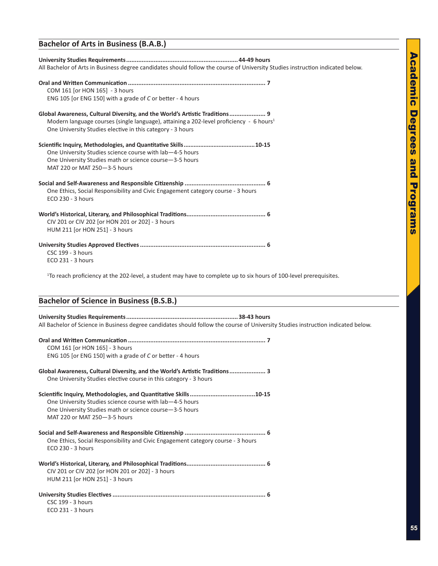# **Academic Degrees** Academic Degrees and Programs and Programs

#### **Bachelor of Arts in Business (B.A.B.)**

| All Bachelor of Arts in Business degree candidates should follow the course of University Studies instruction indicated below.                                                                                                                   |
|--------------------------------------------------------------------------------------------------------------------------------------------------------------------------------------------------------------------------------------------------|
| COM 161 [or HON 165] - 3 hours<br>ENG 105 [or ENG 150] with a grade of C or better - 4 hours                                                                                                                                                     |
| Global Awareness, Cultural Diversity, and the World's Artistic Traditions 9<br>Modern language courses (single language), attaining a 202-level proficiency - 6 hours <sup>1</sup><br>One University Studies elective in this category - 3 hours |
| One University Studies science course with lab-4-5 hours<br>One University Studies math or science course -3-5 hours<br>MAT 220 or MAT 250-3-5 hours                                                                                             |
| One Ethics, Social Responsibility and Civic Engagement category course - 3 hours<br>ECO 230 - 3 hours                                                                                                                                            |
| CIV 201 or CIV 202 [or HON 201 or 202] - 3 hours<br>HUM 211 [or HON 251] - 3 hours                                                                                                                                                               |
| CSC 199 - 3 hours<br>ECO 231 - 3 hours                                                                                                                                                                                                           |

1 To reach proficiency at the 202-level, a student may have to complete up to six hours of 100-level prerequisites.

#### **Bachelor of Science in Business (B.S.B.)**

#### **University Studies Requirements.................................................................38-43 hours**

All Bachelor of Science in Business degree candidates should follow the course of University Studies instruction indicated below.

| COM 161 [or HON 165] - 3 hours                                                                                                                      |
|-----------------------------------------------------------------------------------------------------------------------------------------------------|
| ENG 105 [or ENG 150] with a grade of C or better - 4 hours                                                                                          |
| Global Awareness, Cultural Diversity, and the World's Artistic Traditions 3<br>One University Studies elective course in this category - 3 hours    |
| One University Studies science course with lab-4-5 hours<br>One University Studies math or science course-3-5 hours<br>MAT 220 or MAT 250-3-5 hours |
| One Ethics, Social Responsibility and Civic Engagement category course - 3 hours<br>ECO 230 - 3 hours                                               |
| CIV 201 or CIV 202 [or HON 201 or 202] - 3 hours<br>HUM 211 [or HON 251] - 3 hours                                                                  |
| <b>CSC 199 - 3 hours</b><br>ECO 231 - 3 hours                                                                                                       |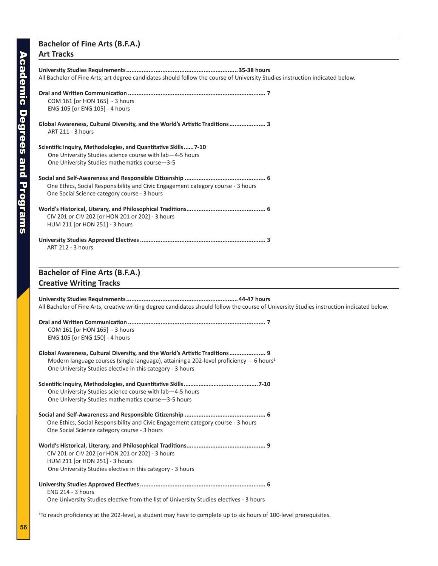#### **Bachelor of Fine Arts (B.F.A.) Art Tracks**

#### **University Studies Requirements.................................................................35-38 hours** All Bachelor of Fine Arts, art degree candidates should follow the course of University Studies instruction indicated below. **Oral and Written Communication ................................................................................ 7** COM 161 [or HON 165] - 3 hours ENG 105 [or ENG 105] - 4 hours **Global Awareness, Cultural Diversity, and the World's Artistic Traditions..................... 3** ART 211 - 3 hours **Scientific Inquiry, Methodologies, and Quantitative Skills......7-10**  One University Studies science course with lab—4-5 hours One University Studies mathematics course—3-5 **Social and Self-Awareness and Responsible Citizenship ............................................... 6**  One Ethics, Social Responsibility and Civic Engagement category course - 3 hours One Social Science category course - 3 hours **World's Historical, Literary, and Philosophical Traditions.............................................. 6**  CIV 201 or CIV 202 [or HON 201 or 202] - 3 hours HUM 211 [or HON 251] - 3 hours **University Studies Approved Electives......................................................................... 3**  ART 212 - 3 hours **Bachelor of Fine Arts (B.F.A.) Creative Writing Tracks University Studies Requirements.................................................................44-47 hours** All Bachelor of Fine Arts, creative writing degree candidates should follow the course of University Studies instruction indicated below. **Oral and Written Communication ................................................................................ 7** COM 161 [or HON 165] - 3 hours ENG 105 [or ENG 150] - 4 hours **Global Awareness, Cultural Diversity, and the World's Artistic Traditions..................... 9** Modern language courses (single language), attaining a 202-level proficiency - 6 hours<sup>1</sup> One University Studies elective in this category - 3 hours **Scientific Inquiry, Methodologies, and Quantitative Skills.............................................7-10**  One University Studies science course with lab—4-5 hours One University Studies mathematics course—3-5 hours **Social and Self-Awareness and Responsible Citizenship ............................................... 6**  One Ethics, Social Responsibility and Civic Engagement category course - 3 hours One Social Science category course - 3 hours **World's Historical, Literary, and Philosophical Traditions.............................................. 9**  CIV 201 or CIV 202 [or HON 201 or 202] - 3 hours HUM 211 [or HON 251] - 3 hours One University Studies elective in this category - 3 hours

**University Studies Approved Electives......................................................................... 6**  ENG 214 - 3 hours

One University Studies elective from the list of University Studies electives - 3 hours

1 To reach proficiency at the 202-level, a student may have to complete up to six hours of 100-level prerequisites.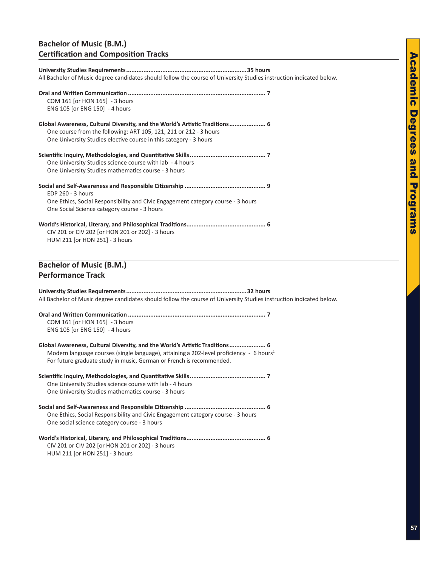#### **Bachelor of Music (B.M.) Certification and Composition Tracks**

| All Bachelor of Music degree candidates should follow the course of University Studies instruction indicated below.                                                                                                                                        |
|------------------------------------------------------------------------------------------------------------------------------------------------------------------------------------------------------------------------------------------------------------|
| COM 161 [or HON 165] - 3 hours<br>ENG 105 [or ENG 150] - 4 hours                                                                                                                                                                                           |
| Global Awareness, Cultural Diversity, and the World's Artistic Traditions 6<br>One course from the following: ART 105, 121, 211 or 212 - 3 hours<br>One University Studies elective course in this category - 3 hours                                      |
| One University Studies science course with lab - 4 hours<br>One University Studies mathematics course - 3 hours                                                                                                                                            |
| EDP 260 - 3 hours<br>One Ethics, Social Responsibility and Civic Engagement category course - 3 hours<br>One Social Science category course - 3 hours                                                                                                      |
| CIV 201 or CIV 202 [or HON 201 or 202] - 3 hours<br>HUM 211 [or HON 251] - 3 hours                                                                                                                                                                         |
| <b>Bachelor of Music (B.M.)</b>                                                                                                                                                                                                                            |
| <b>Performance Track</b>                                                                                                                                                                                                                                   |
| All Bachelor of Music degree candidates should follow the course of University Studies instruction indicated below.                                                                                                                                        |
| COM 161 [or HON 165] - 3 hours<br>ENG 105 [or ENG 150] - 4 hours                                                                                                                                                                                           |
| Global Awareness, Cultural Diversity, and the World's Artistic Traditions 6<br>Modern language courses (single language), attaining a 202-level proficiency - 6 hours <sup>1</sup><br>For future graduate study in music, German or French is recommended. |
| One University Studies science course with lab - 4 hours<br>One University Studies mathematics course - 3 hours                                                                                                                                            |
| One Ethics, Social Responsibility and Civic Engagement category course - 3 hours<br>One social science category course - 3 hours                                                                                                                           |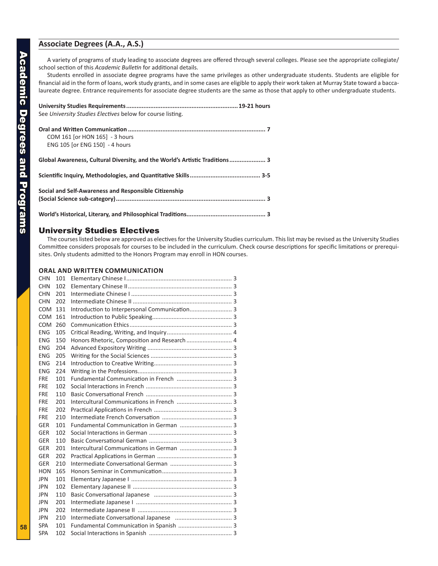#### <span id="page-10-0"></span>**Associate Degrees (A.A., A.S.)**

A variety of programs of study leading to associate degrees are offered through several colleges. Please see the appropriate collegiate/ school section of this *Academic Bulletin* for additional details.

Students enrolled in associate degree programs have the same privileges as other undergraduate students. Students are eligible for financial aid in the form of loans, work study grants, and in some cases are eligible to apply their work taken at Murray State toward a baccalaureate degree. Entrance requirements for associate degree students are the same as those that apply to other undergraduate students.

| See University Studies Electives below for course listing.                  |
|-----------------------------------------------------------------------------|
| COM 161 [or HON 165] - 3 hours<br>ENG 105 [or ENG 150] - 4 hours            |
| Global Awareness, Cultural Diversity, and the World's Artistic Traditions 3 |
|                                                                             |
| Social and Self-Awareness and Responsible Citizenship                       |
|                                                                             |

#### University Studies Electives

The courses listed below are approved as electives for the University Studies curriculum. This list may be revised as the University Studies Committee considers proposals for courses to be included in the curriculum. Check course descriptions for specific limitations or prerequisites. Only students admitted to the Honors Program may enroll in HON courses.

#### **Oral and Written Communication**

| <b>CHN</b> | 101 |                                               |  |
|------------|-----|-----------------------------------------------|--|
| <b>CHN</b> | 102 |                                               |  |
| <b>CHN</b> | 201 |                                               |  |
| <b>CHN</b> | 202 |                                               |  |
| <b>COM</b> | 131 | Introduction to Interpersonal Communication 3 |  |
| <b>COM</b> | 161 |                                               |  |
| <b>COM</b> | 260 |                                               |  |
| <b>ENG</b> | 105 |                                               |  |
| <b>ENG</b> | 150 | Honors Rhetoric, Composition and Research  4  |  |
| <b>ENG</b> | 204 |                                               |  |
| <b>ENG</b> | 205 |                                               |  |
| <b>ENG</b> | 214 |                                               |  |
| <b>ENG</b> | 224 |                                               |  |
| <b>FRE</b> | 101 |                                               |  |
| <b>FRE</b> | 102 |                                               |  |
| <b>FRE</b> | 110 |                                               |  |
| <b>FRE</b> | 201 |                                               |  |
| <b>FRE</b> | 202 |                                               |  |
| <b>FRE</b> | 210 |                                               |  |
| GER        | 101 | Fundamental Communication in German  3        |  |
| <b>GER</b> | 102 |                                               |  |
| <b>GER</b> | 110 |                                               |  |
| <b>GER</b> | 201 |                                               |  |
| <b>GER</b> | 202 |                                               |  |
| <b>GER</b> | 210 |                                               |  |
| <b>HON</b> | 165 |                                               |  |
| <b>JPN</b> | 101 |                                               |  |
| <b>JPN</b> | 102 |                                               |  |
| <b>JPN</b> | 110 |                                               |  |
| <b>JPN</b> | 201 |                                               |  |
| <b>JPN</b> | 202 |                                               |  |
| <b>JPN</b> | 210 |                                               |  |
| <b>SPA</b> | 101 |                                               |  |
| <b>SPA</b> | 102 |                                               |  |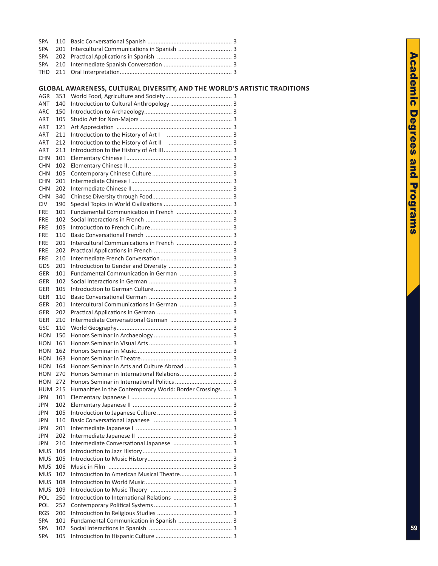#### **Global Awareness, Cultural Diversity, and the World ' s Artistic Traditions**

| <b>AGR</b>        | 353        |                                                          |  |
|-------------------|------------|----------------------------------------------------------|--|
| ANT               | 140        |                                                          |  |
| <b>ARC</b>        | 150        |                                                          |  |
| ART               | 105        |                                                          |  |
| ART               | 121        |                                                          |  |
| ART               | 211        |                                                          |  |
| ART               | 212        |                                                          |  |
| ART               | 213        |                                                          |  |
| CHN               | 101        |                                                          |  |
| <b>CHN</b>        | 102        |                                                          |  |
| CHN               | 105        |                                                          |  |
| <b>CHN</b>        | 201        |                                                          |  |
| <b>CHN</b>        | 202        |                                                          |  |
| <b>CHN</b>        | 340        |                                                          |  |
| <b>CIV</b>        | 190        |                                                          |  |
| <b>FRE</b>        | 101        |                                                          |  |
| <b>FRE</b>        | 102        |                                                          |  |
| FRE               | 105        |                                                          |  |
| <b>FRE</b>        | 110        |                                                          |  |
| <b>FRE</b>        | 201        |                                                          |  |
| <b>FRE</b>        | 202        |                                                          |  |
| <b>FRE</b>        | 210        |                                                          |  |
| GDS               | 201        |                                                          |  |
| GER               | 101        | Fundamental Communication in German  3                   |  |
| GER               | 102        |                                                          |  |
| GER               | 105        |                                                          |  |
| GER               | 110        |                                                          |  |
| GER               | 201        |                                                          |  |
| GER               | 202        |                                                          |  |
|                   |            |                                                          |  |
| GER               | 210        |                                                          |  |
| GSC               | 110        |                                                          |  |
| HON               | 150        |                                                          |  |
| HON               | 161        |                                                          |  |
| HON               | 162        |                                                          |  |
| <b>HON</b>        | 163        |                                                          |  |
| <b>HON</b>        | 164        | Honors Seminar in Arts and Culture Abroad  3             |  |
| <b>HON</b>        | 270        |                                                          |  |
| <b>HON</b>        | 272        |                                                          |  |
| HUM               | 215        | Humanities in the Contemporary World: Border Crossings 3 |  |
| JPN               | 101        |                                                          |  |
| JPN.              | 102        |                                                          |  |
| <b>JPN</b>        | 105        |                                                          |  |
| JPN               | 110        |                                                          |  |
| JPN               | 201        |                                                          |  |
| JPN               | 202        |                                                          |  |
| JPN               | 210        |                                                          |  |
| <b>MUS</b>        | 104        |                                                          |  |
| <b>MUS</b>        | 105        |                                                          |  |
| <b>MUS</b>        | 106        |                                                          |  |
| <b>MUS</b>        | 107        |                                                          |  |
| <b>MUS</b>        | 108        |                                                          |  |
| <b>MUS</b>        | 109        |                                                          |  |
| POL               | 250        |                                                          |  |
| POL               | 252        |                                                          |  |
| <b>RGS</b>        | 200        |                                                          |  |
| <b>SPA</b>        | 101        |                                                          |  |
| SPA<br><b>SPA</b> | 102<br>105 |                                                          |  |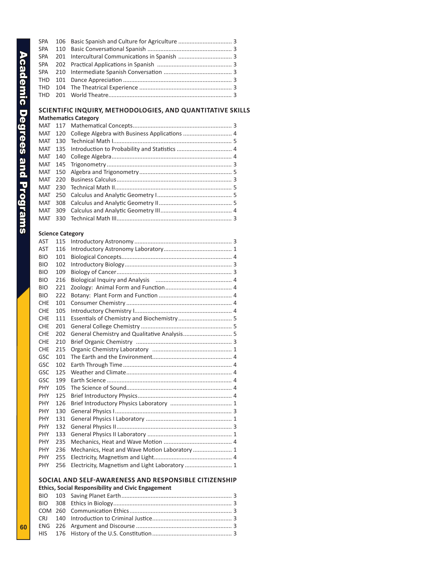#### **Scientific Inquiry, Methodologies, and Quantitative Skills**

|         | <b>Mathematics Category</b> |                                                       |  |  |  |
|---------|-----------------------------|-------------------------------------------------------|--|--|--|
|         |                             |                                                       |  |  |  |
|         |                             | MAT 120 College Algebra with Business Applications  4 |  |  |  |
| MAT     | 130                         |                                                       |  |  |  |
|         |                             |                                                       |  |  |  |
|         |                             |                                                       |  |  |  |
|         |                             |                                                       |  |  |  |
|         |                             |                                                       |  |  |  |
| MAT 220 |                             |                                                       |  |  |  |
| MAT     |                             |                                                       |  |  |  |
|         |                             |                                                       |  |  |  |
|         |                             |                                                       |  |  |  |
|         |                             |                                                       |  |  |  |
|         |                             |                                                       |  |  |  |

#### **Science Category**

| <b>AST</b> | 115 |                                                |  |
|------------|-----|------------------------------------------------|--|
| <b>AST</b> | 116 |                                                |  |
| <b>BIO</b> | 101 |                                                |  |
| <b>BIO</b> | 102 |                                                |  |
| <b>BIO</b> | 109 |                                                |  |
| <b>BIO</b> | 216 |                                                |  |
| <b>BIO</b> | 221 |                                                |  |
| <b>BIO</b> | 222 |                                                |  |
| <b>CHE</b> | 101 |                                                |  |
| <b>CHE</b> | 105 |                                                |  |
| <b>CHE</b> | 111 | Essentials of Chemistry and Biochemistry 5     |  |
| <b>CHE</b> | 201 |                                                |  |
| <b>CHE</b> | 202 | General Chemistry and Qualitative Analysis 5   |  |
| <b>CHE</b> | 210 |                                                |  |
| <b>CHE</b> | 215 |                                                |  |
| GSC        | 101 |                                                |  |
| GSC        | 102 |                                                |  |
| GSC        | 125 |                                                |  |
| GSC        | 199 |                                                |  |
| <b>PHY</b> | 105 |                                                |  |
| <b>PHY</b> | 125 |                                                |  |
| <b>PHY</b> | 126 |                                                |  |
| <b>PHY</b> | 130 |                                                |  |
| <b>PHY</b> | 131 |                                                |  |
| <b>PHY</b> | 132 |                                                |  |
| <b>PHY</b> | 133 |                                                |  |
| <b>PHY</b> | 235 |                                                |  |
| <b>PHY</b> | 236 | Mechanics, Heat and Wave Motion Laboratory  1  |  |
| <b>PHY</b> | 255 |                                                |  |
| <b>PHY</b> | 256 | Electricity, Magnetism and Light Laboratory  1 |  |
|            |     |                                                |  |

#### **SOCIAL AND SELF-AWARENESS AND RESPONSIBLE CITIZE**

**Ethics, Social Responsibility and Civic Engagement**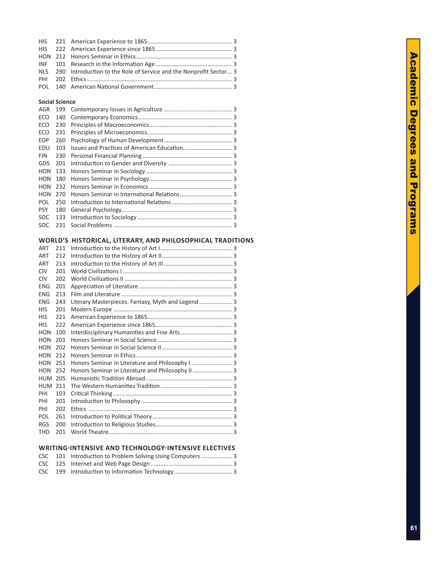|  | NLS 290 Introduction to the Role of Service and the Nonprofit Sector 3 |  |
|--|------------------------------------------------------------------------|--|
|  |                                                                        |  |
|  |                                                                        |  |

#### **Social Science**

| AGR        | 199 |  |
|------------|-----|--|
| ECO        | 140 |  |
| ECO        | 230 |  |
| ECO        | 231 |  |
| <b>EDP</b> | 260 |  |
| EDU        | 103 |  |
| <b>FIN</b> | 230 |  |
| GDS        | 201 |  |
| HON        | 133 |  |
| HON        | 180 |  |
| HON        | 232 |  |
| HON        | 270 |  |
| <b>POL</b> | 250 |  |
| <b>PSY</b> | 180 |  |
| <b>SOC</b> | 133 |  |
| <b>SOC</b> | 231 |  |

#### WORLD'S HISTORICAL, LITERARY, AND PHILOSOPHICAL TR

| ART        | 211 |                                                    |  |
|------------|-----|----------------------------------------------------|--|
| <b>ART</b> | 212 |                                                    |  |
| ART        | 213 |                                                    |  |
| <b>CIV</b> | 201 |                                                    |  |
| <b>CIV</b> | 202 |                                                    |  |
| <b>ENG</b> | 201 |                                                    |  |
| <b>ENG</b> | 213 |                                                    |  |
| <b>ENG</b> | 243 | Literary Masterpieces: Fantasy, Myth and Legend  3 |  |
| <b>HIS</b> | 201 |                                                    |  |
| <b>HIS</b> | 221 |                                                    |  |
| <b>HIS</b> | 222 |                                                    |  |
| HON        | 100 | Interdisciplinary Humanities and Fine Arts 3       |  |
| <b>HON</b> | 201 |                                                    |  |
| HON        | 202 |                                                    |  |
| <b>HON</b> | 212 |                                                    |  |
| HON        | 251 | Honors Seminar in Literature and Philosophy I  3   |  |
| <b>HON</b> | 252 | Honors Seminar in Literature and Philosophy II  3  |  |
| <b>HUM</b> | 205 |                                                    |  |
| HUM        | 211 |                                                    |  |
| PHI        | 103 |                                                    |  |
| PHI        | 201 |                                                    |  |
| PHI        | 202 |                                                    |  |
| POL        | 261 |                                                    |  |
| <b>RGS</b> | 200 |                                                    |  |
| <b>THD</b> | 201 |                                                    |  |

#### **Writing-Intensive and Technology-Intensive Electives**

|  | CSC 101 Introduction to Problem Solving Using Computers  3 |  |
|--|------------------------------------------------------------|--|
|  |                                                            |  |
|  |                                                            |  |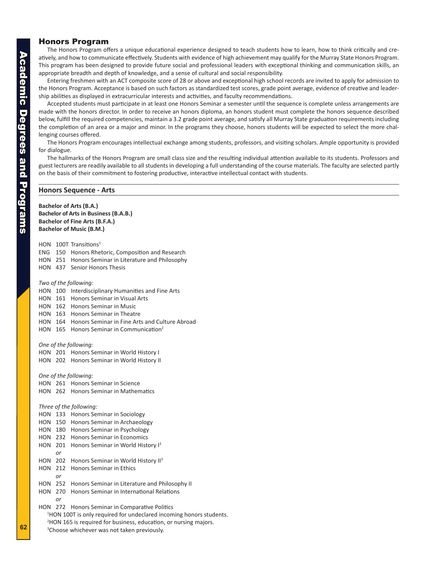#### <span id="page-14-0"></span>Honors Program

The Honors Program offers a unique educational experience designed to teach students how to learn, how to think critically and creatively, and how to communicate effectively. Students with evidence of high achievement may qualify for the Murray State Honors Program. This program has been designed to provide future social and professional leaders with exceptional thinking and communication skills, an appropriate breadth and depth of knowledge, and a sense of cultural and social responsibility.

Entering freshmen with an ACT composite score of 28 or above and exceptional high school records are invited to apply for admission to the Honors Program. Acceptance is based on such factors as standardized test scores, grade point average, evidence of creative and leadership abilities as displayed in extracurricular interests and activities, and faculty recommendations.

Accepted students must participate in at least one Honors Seminar a semester until the sequence is complete unless arrangements are made with the honors director. In order to receive an honors diploma, an honors student must complete the honors sequence described below, fulfill the required competencies, maintain a 3.2 grade point average, and satisfy all Murray State graduation requirements including the completion of an area or a major and minor. In the programs they choose, honors students will be expected to select the more challenging courses offered.

The Honors Program encourages intellectual exchange among students, professors, and visiting scholars. Ample opportunity is provided for dialogue.

The hallmarks of the Honors Program are small class size and the resulting individual attention available to its students. Professors and guest lecturers are readily available to all students in developing a full understanding of the course materials. The faculty are selected partly on the basis of their commitment to fostering productive, interactive intellectual contact with students.

#### **Honors Sequence - Arts**

**Bachelor of Arts (B.A.) Bachelor of Arts in Business (B.A.B.) Bachelor of Fine Arts (B.F.A.) Bachelor of Music (B.M.)** HON 100T Transitions<sup>1</sup> ENG 150 Honors Rhetoric, Composition and Research HON 251 Honors Seminar in Literature and Philosophy HON 437 Senior Honors Thesis *Two of the following:* HON 100 Interdisciplinary Humanities and Fine Arts HON 161 Honors Seminar in Visual Arts HON 162 Honors Seminar in Music HON 163 Honors Seminar in Theatre HON 164 Honors Seminar in Fine Arts and Culture Abroad HON 165 Honors Seminar in Communication<sup>2</sup> *One of the following:* HON 201 Honors Seminar in World History I HON 202 Honors Seminar in World History II *One of the following:* HON 261 Honors Seminar in Science HON 262 Honors Seminar in Mathematics *Three of the following:* HON 133 Honors Seminar in Sociology HON 150 Honors Seminar in Archaeology HON 180 Honors Seminar in Psychology HON 232 Honors Seminar in Economics HON 201 Honors Seminar in World History I<sup>3</sup> *or* HON 202 Honors Seminar in World History II<sup>3</sup> HON 212 Honors Seminar in Ethics *or* HON 252 Honors Seminar in Literature and Philosophy II HON 270 Honors Seminar in International Relations *or* HON 272 Honors Seminar in Comparative Politics <sup>1</sup>HON 100T is only required for undeclared incoming honors students. 2 HON 165 is required for business, education, or nursing majors. <sup>3</sup>Choose whichever was not taken previously.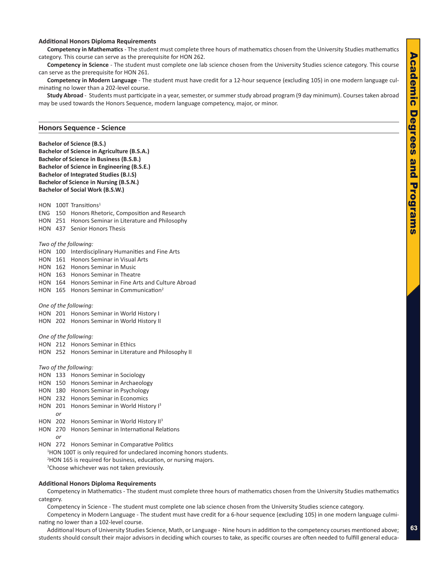#### **Additional Honors Diploma Requirements**

**Competency in Mathematics** - The student must complete three hours of mathematics chosen from the University Studies mathematics category. This course can serve as the prerequisite for HON 262.

**Competency in Science** - The student must complete one lab science chosen from the University Studies science category. This course can serve as the prerequisite for HON 261.

**Competency in Modern Language** - The student must have credit for a 12-hour sequence (excluding 105) in one modern language culminating no lower than a 202-level course.

**Study Abroad** - Students must participate in a year, semester, or summer study abroad program (9 day minimum). Courses taken abroad may be used towards the Honors Sequence, modern language competency, major, or minor.

#### **Honors Sequence - Science**

**Bachelor of Science (B.S.) Bachelor of Science in Agriculture (B.S.A.) Bachelor of Science in Business (B.S.B.) Bachelor of Science in Engineering (B.S.E.) Bachelor of Integrated Studies (B.I.S) Bachelor of Science in Nursing (B.S.N.) Bachelor of Social Work (B.S.W.)**

HON 100T Transitions<sup>1</sup> ENG 150 Honors Rhetoric, Composition and Research

HON 251 Honors Seminar in Literature and Philosophy

HON 437 Senior Honors Thesis

#### *Two of the following:*

HON 100 Interdisciplinary Humanities and Fine Arts HON 161 Honors Seminar in Visual Arts HON 162 Honors Seminar in Music HON 163 Honors Seminar in Theatre HON 164 Honors Seminar in Fine Arts and Culture Abroad HON 165 Honors Seminar in Communication<sup>2</sup> *One of the following:* HON 201 Honors Seminar in World History I HON 202 Honors Seminar in World History II *One of the following:* HON 212 Honors Seminar in Ethics HON 252 Honors Seminar in Literature and Philosophy II

*Two of the following:*

- HON 133 Honors Seminar in Sociology
- HON 150 Honors Seminar in Archaeology
- HON 180 Honors Seminar in Psychology
- HON 232 Honors Seminar in Economics
- HON 201 Honors Seminar in World History I<sup>3</sup> *or*

HON 202 Honors Seminar in World History II<sup>3</sup>

HON 270 Honors Seminar in International Relations *or*

HON 272 Honors Seminar in Comparative Politics <sup>1</sup>HON 100T is only required for undeclared incoming honors students. 2 HON 165 is required for business, education, or nursing majors. <sup>3</sup>Choose whichever was not taken previously.

#### **Additional Honors Diploma Requirements**

Competency in Mathematics - The student must complete three hours of mathematics chosen from the University Studies mathematics category.

Competency in Science - The student must complete one lab science chosen from the University Studies science category.

Competency in Modern Language - The student must have credit for a 6-hour sequence (excluding 105) in one modern language culminating no lower than a 102-level course.

Additional Hours of University Studies Science, Math, or Language - Nine hours in addition to the competency courses mentioned above; students should consult their major advisors in deciding which courses to take, as specific courses are often needed to fulfill general educa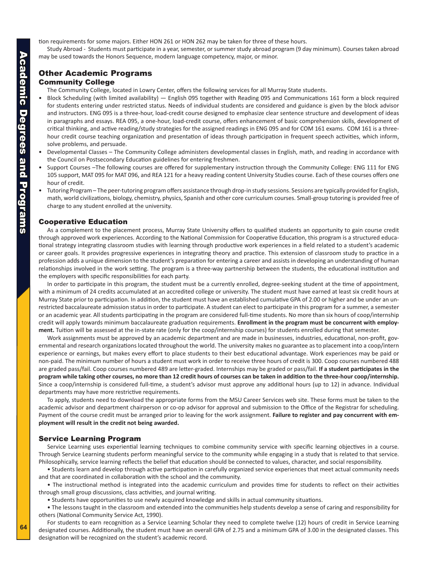<span id="page-16-0"></span>tion requirements for some majors. Either HON 261 or HON 262 may be taken for three of these hours.

Study Abroad - Students must participate in a year, semester, or summer study abroad program (9 day minimum). Courses taken abroad may be used towards the Honors Sequence, modern language competency, major, or minor.

### Other Academic Programs

#### Community College

The Community College, located in Lowry Center, offers the following services for all Murray State students.

- Block Scheduling (with limited availability) English 095 together with Reading 095 and Communications 161 form a block required for students entering under restricted status. Needs of individual students are considered and guidance is given by the block advisor and instructors. ENG 095 is a three-hour, load-credit course designed to emphasize clear sentence structure and development of ideas in paragraphs and essays. REA 095, a one-hour, load-credit course, offers enhancement of basic comprehension skills, development of critical thinking, and active reading/study strategies for the assigned readings in ENG 095 and for COM 161 exams. COM 161 is a threehour credit course teaching organization and presentation of ideas through participation in frequent speech activities, which inform, solve problems, and persuade.
- Developmental Classes The Community College administers developmental classes in English, math, and reading in accordance with the Council on Postsecondary Education guidelines for entering freshmen.
- Support Courses –The following courses are offered for supplementary instruction through the Community College: ENG 111 for ENG 105 support, MAT 095 for MAT 096, and REA 121 for a heavy reading content University Studies course. Each of these courses offers one hour of credit.
- Tutoring Program The peer-tutoring program offers assistance through drop-in study sessions. Sessions are typically provided for English, math, world civilizations, biology, chemistry, physics, Spanish and other core curriculum courses. Small-group tutoring is provided free of charge to any student enrolled at the university.

#### Cooperative Education

As a complement to the placement process, Murray State University offers to qualified students an opportunity to gain course credit through approved work experiences. According to the National Commission for Cooperative Education, this program is a structured educational strategy integrating classroom studies with learning through productive work experiences in a field related to a student's academic or career goals. It provides progressive experiences in integrating theory and practice. This extension of classroom study to practice in a profession adds a unique dimension to the student's preparation for entering a career and assists in developing an understanding of human relationships involved in the work setting. The program is a three-way partnership between the students, the educational institution and the employers with specific responsibilities for each party.

In order to participate in this program, the student must be a currently enrolled, degree-seeking student at the time of appointment, with a minimum of 24 credits accumulated at an accredited college or university. The student must have earned at least six credit hours at Murray State prior to participation. In addition, the student must have an established cumulative GPA of 2.00 or higher and be under an unrestricted baccalaureate admission status in order to participate. A student can elect to participate in this program for a summer, a semester or an academic year. All students participating in the program are considered full-time students. No more than six hours of coop/internship credit will apply towards minimum baccalaureate graduation requirements. **Enrollment in the program must be concurrent with employment.** Tuition will be assessed at the in-state rate (only for the coop/internship courses) for students enrolled during that semester.

Work assignments must be approved by an academic department and are made in businesses, industries, educational, non-profit, governmental and research organizations located throughout the world. The university makes no guarantee as to placement into a coop/intern experience or earnings, but makes every effort to place students to their best educational advantage. Work experiences may be paid or non-paid. The minimum number of hours a student must work in order to receive three hours of credit is 300. Coop courses numbered 488 are graded pass/fail. Coop courses numbered 489 are letter-graded. Internships may be graded or pass/fail. **If a student participates in the program while taking other courses, no more than 12 credit hours of courses can be taken in addition to the three-hour coop/internship.** Since a coop/internship is considered full-time, a student's advisor must approve any additional hours (up to 12) in advance. Individual departments may have more restrictive requirements.

To apply, students need to download the appropriate forms from the MSU Career Services web site. These forms must be taken to the academic advisor and department chairperson or co-op advisor for approval and submission to the Office of the Registrar for scheduling. Payment of the course credit must be arranged prior to leaving for the work assignment. **Failure to register and pay concurrent with employment will result in the credit not being awarded.**

#### Service Learning Program

Service Learning uses experiential learning techniques to combine community service with specific learning objectives in a course. Through Service Learning students perform meaningful service to the community while engaging in a study that is related to that service. Philosophically, service learning reflects the belief that education should be connected to values, character, and social responsibility.

• Students learn and develop through active participation in carefully organized service experiences that meet actual community needs and that are coordinated in collaboration with the school and the community.

• The instructional method is integrated into the academic curriculum and provides time for students to reflect on their activities through small group discussions, class activities, and journal writing.

• Students have opportunities to use newly acquired knowledge and skills in actual community situations.

• The lessons taught in the classroom and extended into the communities help students develop a sense of caring and responsibility for others (National Community Service Act, 1990).

For students to earn recognition as a Service Learning Scholar they need to complete twelve (12) hours of credit in Service Learning designated courses. Additionally, the student must have an overall GPA of 2.75 and a minimum GPA of 3.00 in the designated classes. This designation will be recognized on the student's academic record.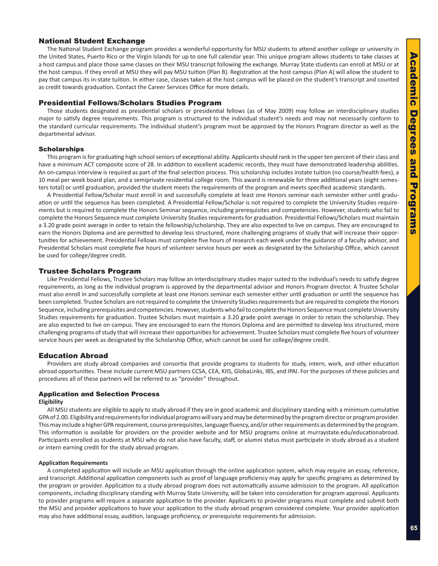#### <span id="page-17-0"></span>National Student Exchange

The National Student Exchange program provides a wonderful opportunity for MSU students to attend another college or university in the United States, Puerto Rico or the Virgin Islands for up to one full calendar year. This unique program allows students to take classes at a host campus and place those same classes on their MSU transcript following the exchange. Murray State students can enroll at MSU or at the host campus. If they enroll at MSU they will pay MSU tuition (Plan B). Registration at the host campus (Plan A) will allow the student to pay that campus its in-state tuition. In either case, classes taken at the host campus will be placed on the student's transcript and counted as credit towards graduation. Contact the Career Services Office for more details.

#### Presidential Fellows/Scholars Studies Program

Those students designated as presidential scholars or presidential fellows (as of May 2009) may follow an interdisciplinary studies major to satisfy degree requirements. This program is structured to the individual student's needs and may not necessarily conform to the standard curricular requirements. The individual student's program must be approved by the Honors Program director as well as the departmental advisor.

#### **Scholarships**

This program is for graduating high school seniors of exceptional ability. Applicants should rank in the upper ten percent of their class and have a minimum ACT composite score of 28. In addition to excellent academic records, they must have demonstrated leadership abilities. An on-campus interview is required as part of the final selection process. This scholarship includes instate tuition (no course/health fees), a 10 meal per week board plan, and a semiprivate residential college room. This award is renewable for three additional years (eight semesters total) or until graduation, provided the student meets the requirements of the program and meets specified academic standards.

A Presidential Fellow/Scholar must enroll in and successfully complete at least one Honors seminar each semester either until graduation or until the sequence has been completed. A Presidential Fellow/Scholar is not required to complete the University Studies requirements but is required to complete the Honors Seminar sequence, including prerequisites and competencies. However, students who fail to complete the Honors Sequence must complete University Studies requirements for graduation. Presidential Fellows/Scholars must maintain a 3.20 grade point average in order to retain the fellowship/scholarship. They are also expected to live on campus. They are encouraged to earn the Honors Diploma and are permitted to develop less structured, more challenging programs of study that will increase their opportunities for achievement. Presidential Fellows must complete five hours of research each week under the guidance of a faculty advisor, and Presidential Scholars must complete five hours of volunteer service hours per week as designated by the Scholarship Office, which cannot be used for college/degree credit.

#### Trustee Scholars Program

Like Presidential Fellows, Trustee Scholars may follow an interdisciplinary studies major suited to the individual's needs to satisfy degree requirements, as long as the individual program is approved by the departmental advisor and Honors Program director. A Trustee Scholar must also enroll in and successfully complete at least one Honors seminar each semester either until graduation or until the sequence has been completed. Trustee Scholars are not required to complete the University Studies requirements but are required to complete the Honors Sequence, including prerequisites and competencies. However, students who fail to complete the Honors Sequence must complete University Studies requirements for graduation. Trustee Scholars must maintain a 3.20 grade point average in order to retain the scholarship. They are also expected to live on campus. They are encouraged to earn the Honors Diploma and are permitted to develop less structured, more challenging programs of study that will increase their opportunities for achievement. Trustee Scholars must complete five hours of volunteer service hours per week as designated by the Scholarship Office, which cannot be used for college/degree credit.

#### Education Abroad

Providers are study abroad companies and consortia that provide programs to students for study, intern, work, and other education abroad opportunities. These include current MSU partners CCSA, CEA, KIIS, GlobaLinks, IBS, and IPAI. For the purposes of these policies and procedures all of these partners will be referred to as "provider" throughout.

#### Application and Selection Process

#### **Eligibility**

All MSU students are eligible to apply to study abroad if they are in good academic and disciplinary standing with a minimum cumulative GPA of 2.00. Eligibility and requirements for individual programs will vary and may be determined by the program director or program provider. This may include a higher GPA requirement, course prerequisites, language fluency, and/or other requirements as determined by the program. This information is available for providers on the provider website and for MSU programs online at murraystate.edu/educationabroad. Participants enrolled as students at MSU who do not also have faculty, staff, or alumni status must participate in study abroad as a student or intern earning credit for the study abroad program.

#### **Application Requirements**

A completed application will include an MSU application through the online application system, which may require an essay, reference, and transcript. Additional application components such as proof of language proficiency may apply for specific programs as determined by the program or provider. Application to a study abroad program does not automatically assume admission to the program. All application components, including disciplinary standing with Murray State University, will be taken into consideration for program approval. Applicants to provider programs will require a separate application to the provider. Applicants to provider programs must complete and submit both the MSU and provider applications to have your application to the study abroad program considered complete. Your provider application may also have additional essay, audition, language proficiency, or prerequisite requirements for admission.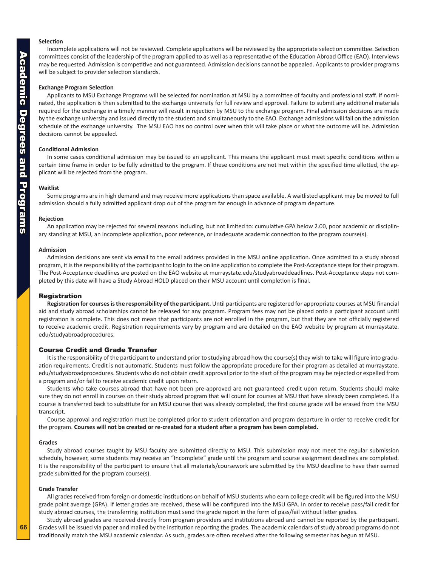#### **Selection**

Incomplete applications will not be reviewed. Complete applications will be reviewed by the appropriate selection committee. Selection committees consist of the leadership of the program applied to as well as a representative of the Education Abroad Office (EAO). Interviews may be requested. Admission is competitive and not guaranteed. Admission decisions cannot be appealed. Applicants to provider programs will be subject to provider selection standards.

#### **Exchange Program Selection**

Applicants to MSU Exchange Programs will be selected for nomination at MSU by a committee of faculty and professional staff. If nominated, the application is then submitted to the exchange university for full review and approval. Failure to submit any additional materials required for the exchange in a timely manner will result in rejection by MSU to the exchange program. Final admission decisions are made by the exchange university and issued directly to the student and simultaneously to the EAO. Exchange admissions will fall on the admission schedule of the exchange university. The MSU EAO has no control over when this will take place or what the outcome will be. Admission decisions cannot be appealed.

#### **Conditional Admission**

In some cases conditional admission may be issued to an applicant. This means the applicant must meet specific conditions within a certain time frame in order to be fully admitted to the program. If these conditions are not met within the specified time allotted, the applicant will be rejected from the program.

#### **Waitlist**

Some programs are in high demand and may receive more applications than space available. A waitlisted applicant may be moved to full admission should a fully admitted applicant drop out of the program far enough in advance of program departure.

#### **Rejection**

An application may be rejected for several reasons including, but not limited to: cumulative GPA below 2.00, poor academic or disciplinary standing at MSU, an incomplete application, poor reference, or inadequate academic connection to the program course(s).

#### **Admission**

Admission decisions are sent via email to the email address provided in the MSU online application. Once admitted to a study abroad program, it is the responsibility of the participant to login to the online application to complete the Post-Acceptance steps for their program. The Post-Acceptance deadlines are posted on the EAO website at murraystate.edu/studyabroaddeadlines. Post-Acceptance steps not completed by this date will have a Study Abroad HOLD placed on their MSU account until completion is final.

#### Registration

**Registration for courses is the responsibility of the participant.** Until participants are registered for appropriate courses at MSU financial aid and study abroad scholarships cannot be released for any program. Program fees may not be placed onto a participant account until registration is complete. This does not mean that participants are not enrolled in the program, but that they are not officially registered to receive academic credit. Registration requirements vary by program and are detailed on the EAO website by program at murraystate. edu/studyabroadprocedures.

#### Course Credit and Grade Transfer

It is the responsibility of the participant to understand prior to studying abroad how the course(s) they wish to take will figure into graduation requirements. Credit is not automatic. Students must follow the appropriate procedure for their program as detailed at murraystate. edu/studyabroadprocedures. Students who do not obtain credit approval prior to the start of the program may be rejected or expelled from a program and/or fail to receive academic credit upon return.

Students who take courses abroad that have not been pre-approved are not guaranteed credit upon return. Students should make sure they do not enroll in courses on their study abroad program that will count for courses at MSU that have already been completed. If a course is transferred back to substitute for an MSU course that was already completed, the first course grade will be erased from the MSU transcript.

Course approval and registration must be completed prior to student orientation and program departure in order to receive credit for the program. **Courses will not be created or re-created for a student after a program has been completed.**

#### **Grades**

Study abroad courses taught by MSU faculty are submitted directly to MSU. This submission may not meet the regular submission schedule, however, some students may receive an "Incomplete" grade until the program and course assignment deadlines are completed. It is the responsibility of the participant to ensure that all materials/coursework are submitted by the MSU deadline to have their earned grade submitted for the program course(s).

#### **Grade Transfer**

All grades received from foreign or domestic institutions on behalf of MSU students who earn college credit will be figured into the MSU grade point average (GPA). If letter grades are received, these will be configured into the MSU GPA. In order to receive pass/fail credit for study abroad courses, the transferring institution must send the grade report in the form of pass/fail without letter grades.

Study abroad grades are received directly from program providers and institutions abroad and cannot be reported by the participant. Grades will be issued via paper and mailed by the institution reporting the grades. The academic calendars of study abroad programs do not traditionally match the MSU academic calendar. As such, grades are often received after the following semester has begun at MSU.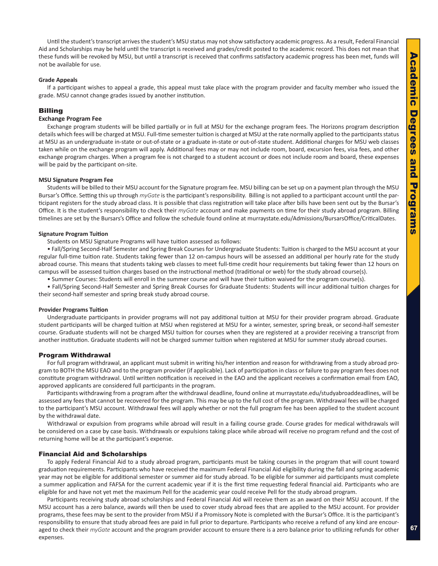Until the student's transcript arrives the student's MSU status may not show satisfactory academic progress. As a result, Federal Financial Aid and Scholarships may be held until the transcript is received and grades/credit posted to the academic record. This does not mean that these funds will be revoked by MSU, but until a transcript is received that confirms satisfactory academic progress has been met, funds will not be available for use.

#### **Grade Appeals**

If a participant wishes to appeal a grade, this appeal must take place with the program provider and faculty member who issued the grade. MSU cannot change grades issued by another institution.

#### Billing

#### **Exchange Program Fee**

Exchange program students will be billed partially or in full at MSU for the exchange program fees. The Horizons program description details which fees will be charged at MSU. Full-time semester tuition is charged at MSU at the rate normally applied to the participants status at MSU as an undergraduate in-state or out-of-state or a graduate in-state or out-of-state student. Additional charges for MSU web classes taken while on the exchange program will apply. Additional fees may or may not include room, board, excursion fees, visa fees, and other exchange program charges. When a program fee is not charged to a student account or does not include room and board, these expenses will be paid by the participant on-site.

#### **MSU Signature Program Fee**

Students will be billed to their MSU account for the Signature program fee. MSU billing can be set up on a payment plan through the MSU Bursar's Office. Setting this up through *myGate* is the participant's responsibility. Billing is not applied to a participant account until the participant registers for the study abroad class. It is possible that class registration will take place after bills have been sent out by the Bursar's Office. It is the student's responsibility to check their *myGate* account and make payments on time for their study abroad program. Billing timelines are set by the Bursars's Office and follow the schedule found online at murraystate.edu/Admissions/BursarsOffice/CriticalDates.

#### **Signature Program Tuition**

Students on MSU Signature Programs will have tuition assessed as follows:

• Fall/Spring Second-Half Semester and Spring Break Courses for Undergraduate Students: Tuition is charged to the MSU account at your regular full-time tuition rate. Students taking fewer than 12 on-campus hours will be assessed an additional per hourly rate for the study abroad course. This means that students taking web classes to meet full-time credit hour requirements but taking fewer than 12 hours on campus will be assessed tuition charges based on the instructional method (traditional or web) for the study abroad course(s).

• Summer Courses: Students will enroll in the summer course and will have their tuition waived for the program course(s).

• Fall/Spring Second-Half Semester and Spring Break Courses for Graduate Students: Students will incur additional tuition charges for their second-half semester and spring break study abroad course.

#### **Provider Programs Tuition**

Undergraduate participants in provider programs will not pay additional tuition at MSU for their provider program abroad. Graduate student participants will be charged tuition at MSU when registered at MSU for a winter, semester, spring break, or second-half semester course. Graduate students will not be charged MSU tuition for courses when they are registered at a provider receiving a transcript from another institution. Graduate students will not be charged summer tuition when registered at MSU for summer study abroad courses.

#### Program Withdrawal

For full program withdrawal, an applicant must submit in writing his/her intention and reason for withdrawing from a study abroad program to BOTH the MSU EAO and to the program provider (if applicable). Lack of participation in class or failure to pay program fees does not constitute program withdrawal. Until written notification is received in the EAO and the applicant receives a confirmation email from EAO, approved applicants are considered full participants in the program.

Participants withdrawing from a program after the withdrawal deadline, found online at murraystate.edu/studyabroaddeadlines, will be assessed any fees that cannot be recovered for the program. This may be up to the full cost of the program. Withdrawal fees will be charged to the participant's MSU account. Withdrawal fees will apply whether or not the full program fee has been applied to the student account by the withdrawal date.

Withdrawal or expulsion from programs while abroad will result in a failing course grade. Course grades for medical withdrawals will be considered on a case by case basis. Withdrawals or expulsions taking place while abroad will receive no program refund and the cost of returning home will be at the participant's expense.

#### Financial Aid and Scholarships

To apply Federal Financial Aid to a study abroad program, participants must be taking courses in the program that will count toward graduation requirements. Participants who have received the maximum Federal Financial Aid eligibility during the fall and spring academic year may not be eligible for additional semester or summer aid for study abroad. To be eligible for summer aid participants must complete a summer application and FAFSA for the current academic year if it is the first time requesting federal financial aid. Participants who are eligible for and have not yet met the maximum Pell for the academic year could receive Pell for the study abroad program.

Participants receiving study abroad scholarships and Federal Financial Aid will receive them as an award on their MSU account. If the MSU account has a zero balance, awards will then be used to cover study abroad fees that are applied to the MSU account. For provider programs, these fees may be sent to the provider from MSU if a Promissory Note is completed with the Bursar's Office. It is the participant's responsibility to ensure that study abroad fees are paid in full prior to departure. Participants who receive a refund of any kind are encouraged to check their *myGate* account and the program provider account to ensure there is a zero balance prior to utilizing refunds for other expenses.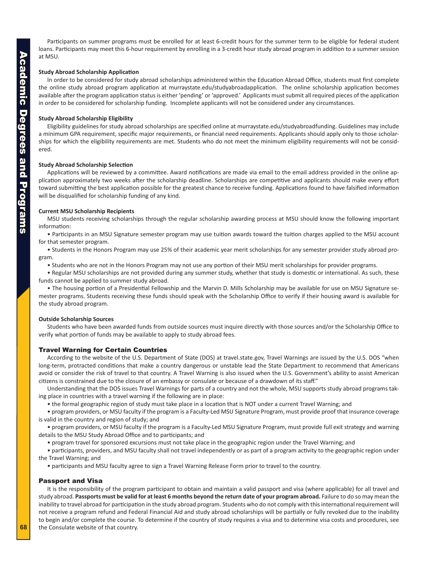Participants on summer programs must be enrolled for at least 6-credit hours for the summer term to be eligible for federal student loans. Participants may meet this 6-hour requirement by enrolling in a 3-credit hour study abroad program in addition to a summer session at MSU.

#### **Study Abroad Scholarship Application**

In order to be considered for study abroad scholarships administered within the Education Abroad Office, students must first complete the online study abroad program application at murraystate.edu/studyabroadapplication. The online scholarship application becomes available after the program application status is either 'pending' or 'approved.' Applicants must submit all required pieces of the application in order to be considered for scholarship funding. Incomplete applicants will not be considered under any circumstances.

#### **Study Abroad Scholarship Eligibility**

Eligibility guidelines for study abroad scholarships are specified online at murraystate.edu/studyabroadfunding. Guidelines may include a minimum GPA requirement, specific major requirements, or financial need requirements. Applicants should apply only to those scholarships for which the eligibility requirements are met. Students who do not meet the minimum eligibility requirements will not be considered.

#### **Study Abroad Scholarship Selection**

Applications will be reviewed by a committee. Award notifications are made via email to the email address provided in the online application approximately two weeks after the scholarship deadline. Scholarships are competitive and applicants should make every effort toward submitting the best application possible for the greatest chance to receive funding. Applications found to have falsified information will be disqualified for scholarship funding of any kind.

#### **Current MSU Scholarship Recipients**

MSU students receiving scholarships through the regular scholarship awarding process at MSU should know the following important information:

• Participants in an MSU Signature semester program may use tuition awards toward the tuition charges applied to the MSU account for that semester program.

• Students in the Honors Program may use 25% of their academic year merit scholarships for any semester provider study abroad program.

• Students who are not in the Honors Program may not use any portion of their MSU merit scholarships for provider programs.

• Regular MSU scholarships are not provided during any summer study, whether that study is domestic or international. As such, these funds cannot be applied to summer study abroad.

• The housing portion of a Presidential Fellowship and the Marvin D. Mills Scholarship may be available for use on MSU Signature semester programs. Students receiving these funds should speak with the Scholarship Office to verify if their housing award is available for the study abroad program.

#### **Outside Scholarship Sources**

Students who have been awarded funds from outside sources must inquire directly with those sources and/or the Scholarship Office to verify what portion of funds may be available to apply to study abroad fees.

#### Travel Warning for Certain Countries

According to the website of the U.S. Department of State (DOS) at travel.state.gov, Travel Warnings are issued by the U.S. DOS "when long-term, protracted conditions that make a country dangerous or unstable lead the State Department to recommend that Americans avoid or consider the risk of travel to that country. A Travel Warning is also issued when the U.S. Government's ability to assist American citizens is constrained due to the closure of an embassy or consulate or because of a drawdown of its staff."

Understanding that the DOS issues Travel Warnings for parts of a country and not the whole, MSU supports study abroad programs taking place in countries with a travel warning if the following are in place:

• the formal geographic region of study must take place in a location that is NOT under a current Travel Warning; and

• program providers, or MSU faculty if the program is a Faculty-Led MSU Signature Program, must provide proof that insurance coverage is valid in the country and region of study; and

• program providers, or MSU faculty if the program is a Faculty-Led MSU Signature Program, must provide full exit strategy and warning details to the MSU Study Abroad Office and to participants; and

• program travel for sponsored excursions must not take place in the geographic region under the Travel Warning; and

• participants, providers, and MSU faculty shall not travel independently or as part of a program activity to the geographic region under the Travel Warning; and

• participants and MSU faculty agree to sign a Travel Warning Release Form prior to travel to the country.

#### Passport and Visa

It is the responsibility of the program participant to obtain and maintain a valid passport and visa (where applicable) for all travel and study abroad. **Passports must be valid for at least 6 months beyond the return date of your program abroad.** Failure to do so may mean the inability to travel abroad for participation in the study abroad program. Students who do not comply with this international requirement will not receive a program refund and Federal Financial Aid and study abroad scholarships will be partially or fully revoked due to the inability to begin and/or complete the course. To determine if the country of study requires a visa and to determine visa costs and procedures, see the Consulate website of that country.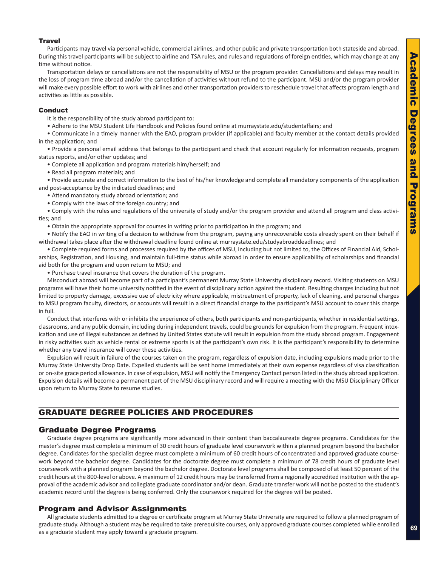#### <span id="page-21-0"></span>**Travel**

Participants may travel via personal vehicle, commercial airlines, and other public and private transportation both stateside and abroad. During this travel participants will be subject to airline and TSA rules, and rules and regulations of foreign entities, which may change at any time without notice.

Transportation delays or cancellations are not the responsibility of MSU or the program provider. Cancellations and delays may result in the loss of program time abroad and/or the cancellation of activities without refund to the participant. MSU and/or the program provider will make every possible effort to work with airlines and other transportation providers to reschedule travel that affects program length and activities as little as possible.

#### Conduct

It is the responsibility of the study abroad participant to:

• Adhere to the MSU Student Life Handbook and Policies found online at murraystate.edu/studentaffairs; and

• Communicate in a timely manner with the EAO, program provider (if applicable) and faculty member at the contact details provided in the application; and

• Provide a personal email address that belongs to the participant and check that account regularly for information requests, program status reports, and/or other updates; and

• Complete all application and program materials him/herself; and

• Read all program materials; and

• Provide accurate and correct information to the best of his/her knowledge and complete all mandatory components of the application and post-acceptance by the indicated deadlines; and

• Attend mandatory study abroad orientation; and

• Comply with the laws of the foreign country; and

• Comply with the rules and regulations of the university of study and/or the program provider and attend all program and class activities; and

• Obtain the appropriate approval for courses in writing prior to participation in the program; and

• Notify the EAO in writing of a decision to withdraw from the program, paying any unrecoverable costs already spent on their behalf if withdrawal takes place after the withdrawal deadline found online at murraystate.edu/studyabroaddeadlines; and

• Complete required forms and processes required by the offices of MSU, including but not limited to, the Offices of Financial Aid, Scholarships, Registration, and Housing, and maintain full-time status while abroad in order to ensure applicability of scholarships and financial aid both for the program and upon return to MSU; and

• Purchase travel insurance that covers the duration of the program.

Misconduct abroad will become part of a participant's permanent Murray State University disciplinary record. Visiting students on MSU programs will have their home university notified in the event of disciplinary action against the student. Resulting charges including but not limited to property damage, excessive use of electricity where applicable, mistreatment of property, lack of cleaning, and personal charges to MSU program faculty, directors, or accounts will result in a direct financial charge to the participant's MSU account to cover this charge in full.

Conduct that interferes with or inhibits the experience of others, both participants and non-participants, whether in residential settings, classrooms, and any public domain, including during independent travels, could be grounds for expulsion from the program. Frequent intoxication and use of illegal substances as defined by United States statute will result in expulsion from the study abroad program. Engagement in risky activities such as vehicle rental or extreme sports is at the participant's own risk. It is the participant's responsibility to determine whether any travel insurance will cover these activities.

Expulsion will result in failure of the courses taken on the program, regardless of expulsion date, including expulsions made prior to the Murray State University Drop Date. Expelled students will be sent home immediately at their own expense regardless of visa classification or on-site grace period allowance. In case of expulsion, MSU will notify the Emergency Contact person listed in the study abroad application. Expulsion details will become a permanent part of the MSU disciplinary record and will require a meeting with the MSU Disciplinary Officer upon return to Murray State to resume studies.

#### GRADUATE DEGREE POLICIES AND PROCEDURES

#### Graduate Degree Programs

Graduate degree programs are significantly more advanced in their content than baccalaureate degree programs. Candidates for the master's degree must complete a minimum of 30 credit hours of graduate level coursework within a planned program beyond the bachelor degree. Candidates for the specialist degree must complete a minimum of 60 credit hours of concentrated and approved graduate coursework beyond the bachelor degree. Candidates for the doctorate degree must complete a minimum of 78 credit hours of graduate level coursework with a planned program beyond the bachelor degree. Doctorate level programs shall be composed of at least 50 percent of the credit hours at the 800-level or above. A maximum of 12 credit hours may be transferred from a regionally accredited institution with the approval of the academic advisor and collegiate graduate coordinator and/or dean. Graduate transfer work will not be posted to the student's academic record until the degree is being conferred. Only the coursework required for the degree will be posted.

#### Program and Advisor Assignments

All graduate students admitted to a degree or certificate program at Murray State University are required to follow a planned program of graduate study. Although a student may be required to take prerequisite courses, only approved graduate courses completed while enrolled as a graduate student may apply toward a graduate program.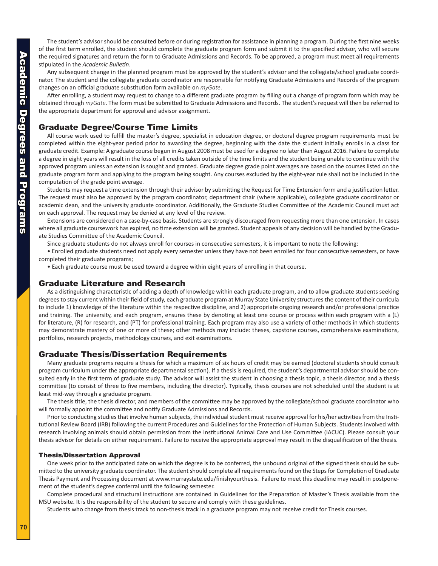<span id="page-22-0"></span>The student's advisor should be consulted before or during registration for assistance in planning a program. During the first nine weeks of the first term enrolled, the student should complete the graduate program form and submit it to the specified advisor, who will secure the required signatures and return the form to Graduate Admissions and Records. To be approved, a program must meet all requirements stipulated in the *Academic Bulletin*.

Any subsequent change in the planned program must be approved by the student's advisor and the collegiate/school graduate coordinator. The student and the collegiate graduate coordinator are responsible for notifying Graduate Admissions and Records of the program changes on an official graduate substitution form available on *myGate*.

After enrolling, a student may request to change to a different graduate program by filling out a change of program form which may be obtained through *myGate*. The form must be submitted to Graduate Admissions and Records. The student's request will then be referred to the appropriate department for approval and advisor assignment.

#### Graduate Degree/Course Time Limits

All course work used to fulfill the master's degree, specialist in education degree, or doctoral degree program requirements must be completed within the eight-year period prior to awarding the degree, beginning with the date the student initially enrolls in a class for graduate credit. Example: A graduate course begun in August 2008 must be used for a degree no later than August 2016. Failure to complete a degree in eight years will result in the loss of all credits taken outside of the time limits and the student being unable to continue with the approved program unless an extension is sought and granted. Graduate degree grade point averages are based on the courses listed on the graduate program form and applying to the program being sought. Any courses excluded by the eight-year rule shall not be included in the computation of the grade point average.

Students may request a time extension through their advisor by submitting the Request for Time Extension form and a justification letter. The request must also be approved by the program coordinator, department chair (where applicable), collegiate graduate coordinator or academic dean, and the university graduate coordinator. Additionally, the Graduate Studies Committee of the Academic Council must act on each approval. The request may be denied at any level of the review.

Extensions are considered on a case-by-case basis. Students are strongly discouraged from requesting more than one extension. In cases where all graduate coursework has expired, no time extension will be granted. Student appeals of any decision will be handled by the Graduate Studies Committee of the Academic Council.

Since graduate students do not always enroll for courses in consecutive semesters, it is important to note the following:

• Enrolled graduate students need not apply every semester unless they have not been enrolled for four consecutive semesters, or have completed their graduate programs;

• Each graduate course must be used toward a degree within eight years of enrolling in that course.

#### Graduate Literature and Research

As a distinguishing characteristic of adding a depth of knowledge within each graduate program, and to allow graduate students seeking degrees to stay current within their field of study, each graduate program at Murray State University structures the content of their curricula to include 1) knowledge of the literature within the respective discipline, and 2) appropriate ongoing research and/or professional practice and training. The university, and each program, ensures these by denoting at least one course or process within each program with a (L) for literature, (R) for research, and (PT) for professional training. Each program may also use a variety of other methods in which students may demonstrate mastery of one or more of these; other methods may include: theses, capstone courses, comprehensive examinations, portfolios, research projects, methodology courses, and exit examinations.

#### Graduate Thesis/Dissertation Requirements

Many graduate programs require a thesis for which a maximum of six hours of credit may be earned (doctoral students should consult program curriculum under the appropriate departmental section). If a thesis is required, the student's departmental advisor should be consulted early in the first term of graduate study. The advisor will assist the student in choosing a thesis topic, a thesis director, and a thesis committee (to consist of three to five members, including the director). Typically, thesis courses are not scheduled until the student is at least mid-way through a graduate program.

The thesis title, the thesis director, and members of the committee may be approved by the collegiate/school graduate coordinator who will formally appoint the committee and notify Graduate Admissions and Records.

Prior to conducting studies that involve human subjects, the individual student must receive approval for his/her activities from the Institutional Review Board (IRB) following the current Procedures and Guidelines for the Protection of Human Subjects. Students involved with research involving animals should obtain permission from the Institutional Animal Care and Use Committee (IACUC). Please consult your thesis advisor for details on either requirement. Failure to receive the appropriate approval may result in the disqualification of the thesis.

#### Thesis/Dissertation Approval

One week prior to the anticipated date on which the degree is to be conferred, the unbound original of the signed thesis should be submitted to the university graduate coordinator. The student should complete all requirements found on the Steps for Completion of Graduate Thesis Payment and Processing document at www.murraystate.edu/finishyourthesis. Failure to meet this deadline may result in postponement of the student's degree conferral until the following semester.

Complete procedural and structural instructions are contained in Guidelines for the Preparation of Master's Thesis available from the MSU website. It is the responsibility of the student to secure and comply with these guidelines.

Students who change from thesis track to non-thesis track in a graduate program may not receive credit for Thesis courses.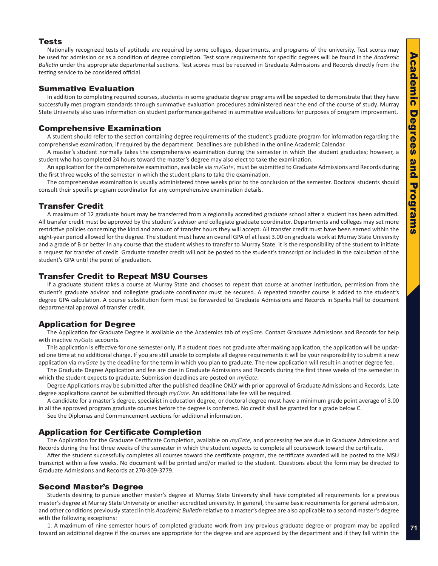#### <span id="page-23-0"></span>Tests

Nationally recognized tests of aptitude are required by some colleges, departments, and programs of the university. Test scores may be used for admission or as a condition of degree completion. Test score requirements for specific degrees will be found in the *Academic Bulletin* under the appropriate departmental sections. Test scores must be received in Graduate Admissions and Records directly from the testing service to be considered official.

#### Summative Evaluation

In addition to completing required courses, students in some graduate degree programs will be expected to demonstrate that they have successfully met program standards through summative evaluation procedures administered near the end of the course of study. Murray State University also uses information on student performance gathered in summative evaluations for purposes of program improvement.

#### Comprehensive Examination

A student should refer to the section containing degree requirements of the student's graduate program for information regarding the comprehensive examination, if required by the department. Deadlines are published in the online Academic Calendar.

A master's student normally takes the comprehensive examination during the semester in which the student graduates; however, a student who has completed 24 hours toward the master's degree may also elect to take the examination.

An application for the comprehensive examination, available via *myGate*, must be submitted to Graduate Admissions and Records during the first three weeks of the semester in which the student plans to take the examination.

The comprehensive examination is usually administered three weeks prior to the conclusion of the semester. Doctoral students should consult their specific program coordinator for any comprehensive examination details.

#### Transfer Credit

A maximum of 12 graduate hours may be transferred from a regionally accredited graduate school after a student has been admitted. All transfer credit must be approved by the student's advisor and collegiate graduate coordinator. Departments and colleges may set more restrictive policies concerning the kind and amount of transfer hours they will accept. All transfer credit must have been earned within the eight-year period allowed for the degree. The student must have an overall GPA of at least 3.00 on graduate work at Murray State University and a grade of B or better in any course that the student wishes to transfer to Murray State. It is the responsibility of the student to initiate a request for transfer of credit. Graduate transfer credit will not be posted to the student's transcript or included in the calculation of the student's GPA until the point of graduation.

#### Transfer Credit to Repeat MSU Courses

If a graduate student takes a course at Murray State and chooses to repeat that course at another institution, permission from the student's graduate advisor and collegiate graduate coordinator must be secured. A repeated transfer course is added to the student's degree GPA calculation. A course substitution form must be forwarded to Graduate Admissions and Records in Sparks Hall to document departmental approval of transfer credit.

#### Application for Degree

The Application for Graduate Degree is available on the Academics tab of *myGate*. Contact Graduate Admissions and Records for help with inactive *myGate* accounts.

This application is effective for one semester only. If a student does not graduate after making application, the application will be updated one time at no additional charge. If you are still unable to complete all degree requirements it will be your responsibility to submit a new application via *myGate* by the deadline for the term in which you plan to graduate. The new application will result in another degree fee.

The Graduate Degree Application and fee are due in Graduate Admissions and Records during the first three weeks of the semester in which the student expects to graduate. Submission deadlines are posted on *myGate*.

Degree Applications may be submitted after the published deadline ONLY with prior approval of Graduate Admissions and Records. Late degree applications cannot be submitted through *myGate*. An additional late fee will be required.

A candidate for a master's degree, specialist in education degree, or doctoral degree must have a minimum grade point average of 3.00 in all the approved program graduate courses before the degree is conferred. No credit shall be granted for a grade below C.

See the Diplomas and Commencement sections for additional information.

#### Application for Certificate Completion

The Application for the Graduate Certificate Completion, available on *myGate*, and processing fee are due in Graduate Admissions and Records during the first three weeks of the semester in which the student expects to complete all coursework toward the certificate.

After the student successfully completes all courses toward the certificate program, the certificate awarded will be posted to the MSU transcript within a few weeks. No document will be printed and/or mailed to the student. Questions about the form may be directed to Graduate Admissions and Records at 270-809-3779.

#### Second Master's Degree

Students desiring to pursue another master's degree at Murray State University shall have completed all requirements for a previous master's degree at Murray State University or another accredited university. In general, the same basic requirements for general admission, and other conditions previously stated in this *Academic Bulletin* relative to a master's degree are also applicable to a second master's degree with the following exceptions:

1. A maximum of nine semester hours of completed graduate work from any previous graduate degree or program may be applied toward an additional degree if the courses are appropriate for the degree and are approved by the department and if they fall within the